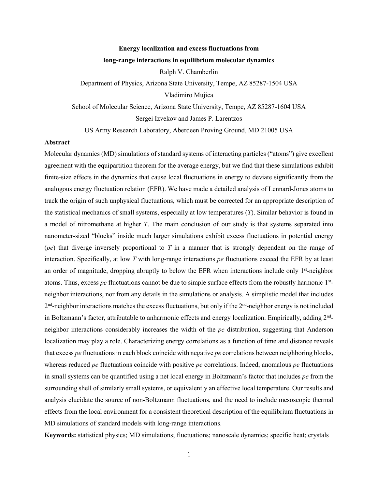# **Energy localization and excess fluctuations from long-range interactions in equilibrium molecular dynamics**

Ralph V. Chamberlin

Department of Physics, Arizona State University, Tempe, AZ 85287-1504 USA Vladimiro Mujica

School of Molecular Science, Arizona State University, Tempe, AZ 85287-1604 USA Sergei Izvekov and James P. Larentzos

US Army Research Laboratory, Aberdeen Proving Ground, MD 21005 USA

## **Abstract**

Molecular dynamics (MD) simulations of standard systems of interacting particles ("atoms") give excellent agreement with the equipartition theorem for the average energy, but we find that these simulations exhibit finite-size effects in the dynamics that cause local fluctuations in energy to deviate significantly from the analogous energy fluctuation relation (EFR). We have made a detailed analysis of Lennard-Jones atoms to track the origin of such unphysical fluctuations, which must be corrected for an appropriate description of the statistical mechanics of small systems, especially at low temperatures (*T*). Similar behavior is found in a model of nitromethane at higher *T*. The main conclusion of our study is that systems separated into nanometer-sized "blocks" inside much larger simulations exhibit excess fluctuations in potential energy (*pe*) that diverge inversely proportional to *T* in a manner that is strongly dependent on the range of interaction. Specifically, at low *T* with long-range interactions *pe* fluctuations exceed the EFR by at least an order of magnitude, dropping abruptly to below the EFR when interactions include only 1<sup>st</sup>-neighbor atoms. Thus, excess *pe* fluctuations cannot be due to simple surface effects from the robustly harmonic 1stneighbor interactions, nor from any details in the simulations or analysis. A simplistic model that includes 2<sup>nd</sup>-neighbor interactions matches the excess fluctuations, but only if the 2<sup>nd</sup>-neighbor energy is not included in Boltzmann's factor, attributable to anharmonic effects and energy localization. Empirically, adding  $2<sup>nd</sup>$ neighbor interactions considerably increases the width of the *pe* distribution, suggesting that Anderson localization may play a role. Characterizing energy correlations as a function of time and distance reveals that excess *pe* fluctuations in each block coincide with negative *pe* correlations between neighboring blocks, whereas reduced *pe* fluctuations coincide with positive *pe* correlations. Indeed, anomalous *pe* fluctuations in small systems can be quantified using a net local energy in Boltzmann's factor that includes *pe* from the surrounding shell of similarly small systems, or equivalently an effective local temperature. Our results and analysis elucidate the source of non-Boltzmann fluctuations, and the need to include mesoscopic thermal effects from the local environment for a consistent theoretical description of the equilibrium fluctuations in MD simulations of standard models with long-range interactions.

**Keywords:** statistical physics; MD simulations; fluctuations; nanoscale dynamics; specific heat; crystals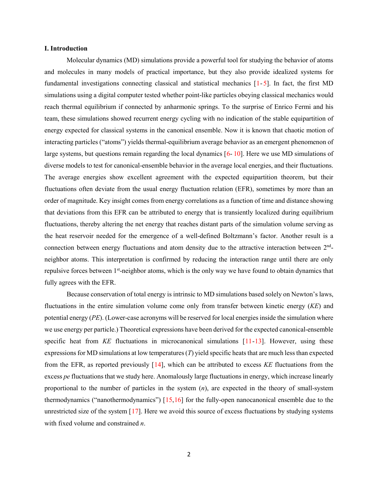#### **I. Introduction**

Molecular dynamics (MD) simulations provide a powerful tool for studying the behavior of atoms and molecules in many models of practical importance, but they also provide idealized systems for fundamental investigations connecting classical and statistical mechanics  $[1-5]$  $[1-5]$  $[1-5]$  $[1-5]$ . In fact, the first MD simulations using a digital computer tested whether point-like particles obeying classical mechanics would reach thermal equilibrium if connected by anharmonic springs. To the surprise of Enrico Fermi and his team, these simulations showed recurrent energy cycling with no indication of the stable equipartition of energy expected for classical systems in the canonical ensemble. Now it is known that chaotic motion of interacting particles ("atoms") yields thermal-equilibrium average behavior as an emergent phenomenon of large systems, but questions remain regarding the local dynamics [[6-](#page-24-3) [10\]](#page-24-4). Here we use MD simulations of diverse models to test for canonical-ensemble behavior in the average local energies, and their fluctuations. The average energies show excellent agreement with the expected equipartition theorem, but their fluctuations often deviate from the usual energy fluctuation relation (EFR), sometimes by more than an order of magnitude. Key insight comes from energy correlations as a function of time and distance showing that deviations from this EFR can be attributed to energy that is transiently localized during equilibrium fluctuations, thereby altering the net energy that reaches distant parts of the simulation volume serving as the heat reservoir needed for the emergence of a well-defined Boltzmann's factor. Another result is a connection between energy fluctuations and atom density due to the attractive interaction between  $2<sup>nd</sup>$ neighbor atoms. This interpretation is confirmed by reducing the interaction range until there are only repulsive forces between 1st-neighbor atoms, which is the only way we have found to obtain dynamics that fully agrees with the EFR.

<span id="page-1-4"></span><span id="page-1-3"></span><span id="page-1-2"></span><span id="page-1-1"></span><span id="page-1-0"></span>Because conservation of total energy is intrinsic to MD simulations based solely on Newton's laws, fluctuations in the entire simulation volume come only from transfer between kinetic energy (*KE*) and potential energy (*PE*). (Lower-case acronyms will be reserved for local energies inside the simulation where we use energy per particle.) Theoretical expressions have been derived for the expected canonical-ensemble specific heat from *KE* fluctuations in microcanonical simulations [[11](#page-24-5)[-](#page-24-6)[13\]](#page-24-7). However, using these expressions for MD simulations at low temperatures(*T*) yield specific heats that are much less than expected from the EFR, as reported previously [[14](#page-24-8)], which can be attributed to excess *KE* fluctuations from the excess *pe* fluctuations that we study here. Anomalously large fluctuations in energy, which increase linearly proportional to the number of particles in the system (*n*), are expected in the theory of small-system thermodynamics ("nanothermodynamics") [[15](#page-24-9)[,16\]](#page-24-10) for the fully-open nanocanonical ensemble due to the unrestricted size of the system  $[17]$  $[17]$  $[17]$ . Here we avoid this source of excess fluctuations by studying systems with fixed volume and constrained *n*.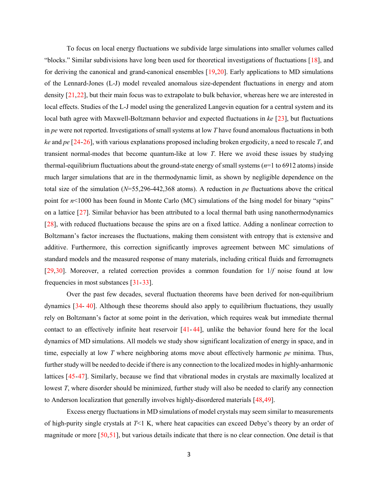<span id="page-2-3"></span><span id="page-2-2"></span>To focus on local energy fluctuations we subdivide large simulations into smaller volumes called "blocks." Similar subdivisions have long been used for theoretical investigations of fluctuations [[18\]](#page-24-12), and for deriving the canonical and grand-canonical ensembles [[19](#page-24-13),[20\]](#page-24-14). Early applications to MD simulations of the Lennard-Jones (L-J) model revealed anomalous size-dependent fluctuations in energy and atom density [[21,](#page-24-15)[22\]](#page-24-16), but their main focus was to extrapolate to bulk behavior, whereas here we are interested in local effects. Studies of the L-J model using the generalized Langevin equation for a central system and its local bath agree with Maxwell-Boltzmann behavior and expected fluctuations in *ke* [[23](#page-24-17)], but fluctuations in *pe* were not reported. Investigations of small systems at low *T* have found anomalous fluctuations in both *ke* and *pe* [[24](#page-25-0)[-](#page-25-1)[26](#page-25-2)], with various explanations proposed including broken ergodicity, a need to rescale *T*, and transient normal-modes that become quantum-like at low *T*. Here we avoid these issues by studying thermal-equilibrium fluctuations about the ground-state energy of small systems (*n*=1 to 6912 atoms) inside much larger simulations that are in the thermodynamic limit, as shown by negligible dependence on the total size of the simulation (*N*=55,296-442,368 atoms). A reduction in *pe* fluctuations above the critical point for  $n<1000$  has been found in Monte Carlo (MC) simulations of the Ising model for binary "spins" on a lattice [[27\]](#page-25-3). Similar behavior has been attributed to a local thermal bath using nanothermodynamics [[28](#page-25-4)], with reduced fluctuations because the spins are on a fixed lattice. Adding a nonlinear correction to Boltzmann's factor increases the fluctuations, making them consistent with entropy that is extensive and additive. Furthermore, this correction significantly improves agreement between MC simulations of standard models and the measured response of many materials, including critical fluids and ferromagnets [[29](#page-25-5),[30\]](#page-25-6). Moreover, a related correction provides a common foundation for 1/*f* noise found at low frequencies in most substances [[31-](#page-25-7)[33\]](#page-25-8).

<span id="page-2-8"></span><span id="page-2-5"></span><span id="page-2-4"></span><span id="page-2-1"></span><span id="page-2-0"></span>Over the past few decades, several fluctuation theorems have been derived for non-equilibrium dynamics [[34](#page-25-9)- [40\]](#page-25-10). Although these theorems should also apply to equilibrium fluctuations, they usually rely on Boltzmann's factor at some point in the derivation, which requires weak but immediate thermal contact to an effectively infinite heat reservoir [[41-](#page-25-11)[44\]](#page-25-12), unlike the behavior found here for the local dynamics of MD simulations. All models we study show significant localization of energy in space, and in time, especially at low *T* where neighboring atoms move about effectively harmonic *pe* minima. Thus, further study will be needed to decide if there is any connection to the localized modes in highly-anharmonic lattices [[45](#page-25-13)[-](#page-25-14)[47\]](#page-25-15). Similarly, because we find that vibrational modes in crystals are maximally localized at lowest *T*, where disorder should be minimized, further study will also be needed to clarify any connection to Anderson localization that generally involves highly-disordered materials [[48](#page-26-0),[49](#page-26-1)].

<span id="page-2-10"></span><span id="page-2-9"></span><span id="page-2-7"></span><span id="page-2-6"></span>Excess energy fluctuations in MD simulations of model crystals may seem similar to measurements of high-purity single crystals at *T*<1 K, where heat capacities can exceed Debye's theory by an order of magnitude or more [[50,](#page-26-2)[51](#page-26-3)], but various details indicate that there is no clear connection. One detail is that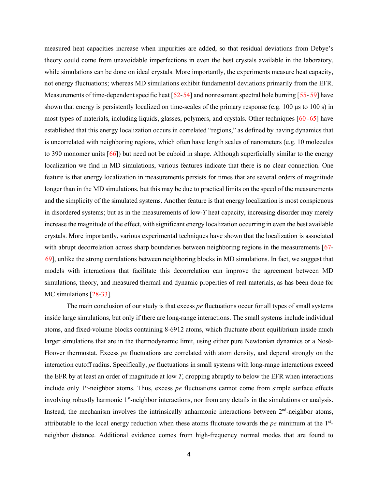<span id="page-3-3"></span><span id="page-3-2"></span><span id="page-3-0"></span>measured heat capacities increase when impurities are added, so that residual deviations from Debye's theory could come from unavoidable imperfections in even the best crystals available in the laboratory, while simulations can be done on ideal crystals. More importantly, the experiments measure heat capacity, not energy fluctuations; whereas MD simulations exhibit fundamental deviations primarily from the EFR. Measurements of time-dependent specific heat [[52](#page-26-4)-[54\]](#page-26-5) and nonresonant spectral hole burning [[55-](#page-26-6)[59](#page-26-7)] have shown that energy is persistently localized on time-scales of the primary response (e.g. 100 μs to 100 s) in most types of materials, including liquids, glasses, polymers, and crystals. Other techniques [\[60](#page-26-8) [-](#page-26-9)[65\]](#page-26-10) have established that this energy localization occurs in correlated "regions," as defined by having dynamics that is uncorrelated with neighboring regions, which often have length scales of nanometers (e.g. 10 molecules to 390 monomer units [[66](#page-26-11)]) but need not be cuboid in shape. Although superficially similar to the energy localization we find in MD simulations, various features indicate that there is no clear connection. One feature is that energy localization in measurements persists for times that are several orders of magnitude longer than in the MD simulations, but this may be due to practical limits on the speed of the measurements and the simplicity of the simulated systems. Another feature is that energy localization is most conspicuous in disordered systems; but as in the measurements of low-*T* heat capacity, increasing disorder may merely increase the magnitude of the effect, with significant energy localization occurring in even the best available crystals. More importantly, various experimental techniques have shown that the localization is associated with abrupt decorrelation across sharp boundaries between neighboring regions in the measurements [[67](#page-26-12)-[69](#page-27-0)], unlike the strong correlations between neighboring blocks in MD simulations. In fact, we suggest that models with interactions that facilitate this decorrelation can improve the agreement between MD simulations, theory, and measured thermal and dynamic properties of real materials, as has been done for MC simulations [\[28](#page-2-0)[-33\]](#page-2-1).

<span id="page-3-1"></span>The main conclusion of our study is that excess *pe* fluctuations occur for all types of small systems inside large simulations, but only if there are long-range interactions. The small systems include individual atoms, and fixed-volume blocks containing 8-6912 atoms, which fluctuate about equilibrium inside much larger simulations that are in the thermodynamic limit, using either pure Newtonian dynamics or a Nosé-Hoover thermostat. Excess *pe* fluctuations are correlated with atom density, and depend strongly on the interaction cutoff radius. Specifically, *pe* fluctuations in small systems with long-range interactions exceed the EFR by at least an order of magnitude at low *T*, dropping abruptly to below the EFR when interactions include only 1st-neighbor atoms. Thus, excess *pe* fluctuations cannot come from simple surface effects involving robustly harmonic 1st-neighbor interactions, nor from any details in the simulations or analysis. Instead, the mechanism involves the intrinsically anharmonic interactions between  $2<sup>nd</sup>$ -neighbor atoms, attributable to the local energy reduction when these atoms fluctuate towards the *pe* minimum at the 1stneighbor distance. Additional evidence comes from high-frequency normal modes that are found to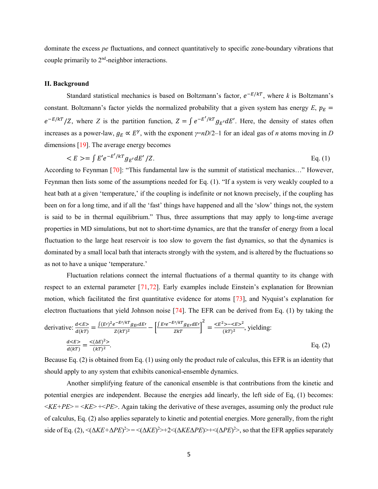dominate the excess *pe* fluctuations, and connect quantitatively to specific zone-boundary vibrations that couple primarily to 2nd-neighbor interactions.

#### **II. Background**

Standard statistical mechanics is based on Boltzmann's factor,  $e^{-E/kT}$ , where *k* is Boltzmann's constant. Boltzmann's factor yields the normalized probability that a given system has energy  $E$ ,  $p_E$  =  $e^{-E/kT}/Z$ , where *Z* is the partition function,  $Z = \int e^{-E'/kT} g_E dE'$ . Here, the density of states often increases as a power-law,  $g_F \propto E^{\gamma}$ , with the exponent *γ*=*nD*/2–1 for an ideal gas of *n* atoms moving in *D* dimensions [\[19\]](#page-2-2). The average energy becomes

$$
\langle E \rangle = \int E' e^{-E'/kT} g_{E'} dE'/Z.
$$
 Eq. (1)

According to Feynman [[70\]](#page-27-1): "This fundamental law is the summit of statistical mechanics..." However, Feynman then lists some of the assumptions needed for Eq. (1). "If a system is very weakly coupled to a heat bath at a given 'temperature,' if the coupling is indefinite or not known precisely, if the coupling has been on for a long time, and if all the 'fast' things have happened and all the 'slow' things not, the system is said to be in thermal equilibrium." Thus, three assumptions that may apply to long-time average properties in MD simulations, but not to short-time dynamics, are that the transfer of energy from a local fluctuation to the large heat reservoir is too slow to govern the fast dynamics, so that the dynamics is dominated by a small local bath that interacts strongly with the system, and is altered by the fluctuations so as not to have a unique 'temperature.'

Fluctuation relations connect the internal fluctuations of a thermal quantity to its change with respect to an external parameter [[71](#page-27-2),[72](#page-27-3)]. Early examples include Einstein's explanation for Brownian motion, which facilitated the first quantitative evidence for atoms [[73](#page-27-4)], and Nyquist's explanation for electron fluctuations that yield Johnson noise [[74](#page-27-5)]. The EFR can be derived from Eq. (1) by taking the

derivative: 
$$
\frac{d\langle E \rangle}{d(kT)} = \frac{\int (Et)^2 e^{-EI/kT} g_{Et} dEt}{Z(kT)^2} - \left[ \frac{\int Ete^{-EI/kT} g_{Et} dEt}{ZkT} \right]^2 = \frac{\langle E^2 \rangle - \langle E \rangle^2}{(kT)^2}, \text{ yielding:}
$$

$$
\frac{d\langle E \rangle}{d(kT)} = \frac{\langle \Delta E \rangle^2 \rangle}{(kT)^2}.
$$
 Eq. (2)

Because Eq. (2) is obtained from Eq. (1) using only the product rule of calculus, this EFR is an identity that should apply to any system that exhibits canonical-ensemble dynamics.

Another simplifying feature of the canonical ensemble is that contributions from the kinetic and potential energies are independent. Because the energies add linearly, the left side of Eq, (1) becomes:  $\langle KE+PE \rangle = \langle KE \rangle + \langle PE \rangle$ . Again taking the derivative of these averages, assuming only the product rule of calculus, Eq. (2) also applies separately to kinetic and potential energies. More generally, from the right side of Eq. (2),  $\langle (\Delta KE + \Delta PE)^2 \rangle = \langle (\Delta KE)^2 \rangle + 2 \langle (\Delta KE \Delta PE) \rangle + \langle (\Delta PE)^2 \rangle$ , so that the EFR applies separately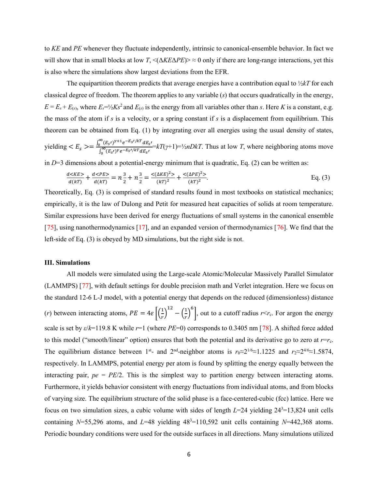to *KE* and *PE* whenever they fluctuate independently, intrinsic to canonical-ensemble behavior. In fact we will show that in small blocks at low  $T$ ,  $\langle (\Delta KE \Delta PE) \rangle \approx 0$  only if there are long-range interactions, yet this is also where the simulations show largest deviations from the EFR.

The equipartition theorem predicts that average energies have a contribution equal to  $\frac{1}{2}kT$  for each classical degree of freedom. The theorem applies to any variable (*s*) that occurs quadratically in the energy,  $E = E_s + E_{(s)}$ , where  $E_s = \frac{1}{2} K s^2$  and  $E_{(s)}$  is the energy from all variables other than *s*. Here *K* is a constant, e.g. the mass of the atom if *s* is a velocity, or a spring constant if *s* is a displacement from equilibrium. This theorem can be obtained from Eq. (1) by integrating over all energies using the usual density of states, yielding  $\langle E_s \rangle = \frac{\int_0^{\infty} (E_s t)^{\gamma+1} e^{-E_s t / kT} dE_s t}{\int_0^{\infty} (E_s t)^{\gamma} e^{-E_s t / kT} dE_s t}$ =*kT*(*γ*+1)=½*nDkT*. Thus at low *T*, where neighboring atoms move

in  $D=3$  dimensions about a potential-energy minimum that is quadratic, Eq. (2) can be written as:

$$
\frac{d < KE}{d(kT)} + \frac{d < PE}{d(kT)} = n\frac{3}{2} + n\frac{3}{2} = \frac{((\Delta KE)^2) - ((\Delta PE)^2) - (kT)^2}{(kT)^2}.
$$
 Eq. (3)

Theoretically, Eq. (3) is comprised of standard results found in most textbooks on statistical mechanics; empirically, it is the law of Dulong and Petit for measured heat capacities of solids at room temperature. Similar expressions have been derived for energy fluctuations of small systems in the canonical ensemble [[75](#page-27-6)], using nanothermodynamics [\[17\]](#page-1-0), and an expanded version of thermodynamics [[76\]](#page-27-7). We find that the left-side of Eq. (3) is obeyed by MD simulations, but the right side is not.

#### **III. Simulations**

<span id="page-5-1"></span><span id="page-5-0"></span>All models were simulated using the Large-scale Atomic/Molecular Massively Parallel Simulator (LAMMPS) [[77\]](#page-27-8), with default settings for double precision math and Verlet integration. Here we focus on the standard 12-6 L-J model, with a potential energy that depends on the reduced (dimensionless) distance (*r*) between interacting atoms,  $PE = 4\varepsilon \left| \left( \frac{1}{r} \right) \right|$  $\frac{1}{r}$ 12  $-\left(\frac{1}{r}\right)$  $\frac{1}{r}$  $\int$ , out to a cutoff radius  $r < r_c$ . For argon the energy scale is set by *ε*/*k*=119.8 K while *r*=1 (where *PE*=0) corresponds to 0.3405 nm [[78\]](#page-27-9). A shifted force added to this model ("smooth/linear" option) ensures that both the potential and its derivative go to zero at  $r=r_c$ . The equilibrium distance between 1<sup>st</sup>- and 2<sup>nd</sup>-neighbor atoms is  $r_0 \approx 2^{1/6} \approx 1.1225$  and  $r_2 \approx 2^{4/6} \approx 1.5874$ , respectively. In LAMMPS, potential energy per atom is found by splitting the energy equally between the interacting pair,  $pe = PE/2$ . This is the simplest way to partition energy between interacting atoms. Furthermore, it yields behavior consistent with energy fluctuations from individual atoms, and from blocks of varying size. The equilibrium structure of the solid phase is a face-centered-cubic (fcc) lattice. Here we focus on two simulation sizes, a cubic volume with sides of length  $L=24$  yielding  $24<sup>3</sup>=13,824$  unit cells containing  $N=55,296$  atoms, and  $L=48$  yielding  $48^{3}=110,592$  unit cells containing  $N=442,368$  atoms. Periodic boundary conditions were used for the outside surfaces in all directions. Many simulations utilized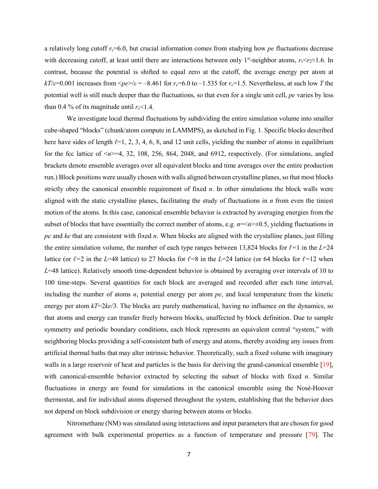a relatively long cutoff  $r_c=6.0$ , but crucial information comes from studying how *pe* fluctuations decrease with decreasing cutoff, at least until there are interactions between only 1<sup>st</sup>-neighbor atoms,  $r_c < r_2 \approx 1.6$ . In contrast, because the potential is shifted to equal zero at the cutoff, the average energy per atom at  $kT/\epsilon$ =0.001 increases from  $\epsilon$  $pe$  $\ge$ / $\epsilon$  = -8.461 for  $r_c$ =6.0 to -1.535 for  $r_c$ =1.5. Nevertheless, at such low *T* the potential well is still much deeper than the fluctuations, so that even for a single unit cell, *pe* varies by less than 0.4 % of its magnitude until  $r_c$ <1.4.

We investigate local thermal fluctuations by subdividing the entire simulation volume into smaller cube-shaped "blocks" (chunk/atom compute in LAMMPS), as sketched in Fig. 1. Specific blocks described here have sides of length  $l=1, 2, 3, 4, 6, 8$ , and 12 unit cells, yielding the number of atoms in equilibrium for the fcc lattice of  $\langle n \rangle = 4$ , 32, 108, 256, 864, 2048, and 6912, respectively. (For simulations, angled brackets denote ensemble averages over all equivalent blocks and time averages over the entire production run.) Block positions were usually chosen with walls aligned between crystalline planes, so that most blocks strictly obey the canonical ensemble requirement of fixed *n*. In other simulations the block walls were aligned with the static crystalline planes, facilitating the study of fluctuations in *n* from even the tiniest motion of the atoms. In this case, canonical ensemble behavior is extracted by averaging energies from the subset of blocks that have essentially the correct number of atoms, e.g. *n*=<*n*>±0.5, yielding fluctuations in *pe* and *ke* that are consistent with fixed *n*. When blocks are aligned with the crystalline planes, just filling the entire simulation volume, the number of each type ranges between 13,824 blocks for *ℓ=*1 in the *L*=24 lattice (or  $\ell = 2$  in the *L*=48 lattice) to 27 blocks for  $\ell = 8$  in the *L*=24 lattice (or 64 blocks for  $\ell = 12$  when *L*=48 lattice). Relatively smooth time-dependent behavior is obtained by averaging over intervals of 10 to 100 time-steps. Several quantities for each block are averaged and recorded after each time interval, including the number of atoms *n*, potential energy per atom *pe*, and local temperature from the kinetic energy per atom  $kT=2ke/3$ . The blocks are purely mathematical, having no influence on the dynamics, so that atoms and energy can transfer freely between blocks, unaffected by block definition. Due to sample symmetry and periodic boundary conditions, each block represents an equivalent central "system," with neighboring blocks providing a self-consistent bath of energy and atoms, thereby avoiding any issues from artificial thermal baths that may alter intrinsic behavior. Theoretically, such a fixed volume with imaginary walls in a large reservoir of heat and particles is the basis for deriving the grand-canonical ensemble [\[19\]](#page-2-3), with canonical-ensemble behavior extracted by selecting the subset of blocks with fixed *n*. Similar fluctuations in energy are found for simulations in the canonical ensemble using the Nosé-Hoover thermostat, and for individual atoms dispersed throughout the system, establishing that the behavior does not depend on block subdivision or energy sharing between atoms or blocks.

Nitromethane (NM) was simulated using interactions and input parameters that are chosen for good agreement with bulk experimental properties as a function of temperature and pressure [[79\]](#page-27-10). The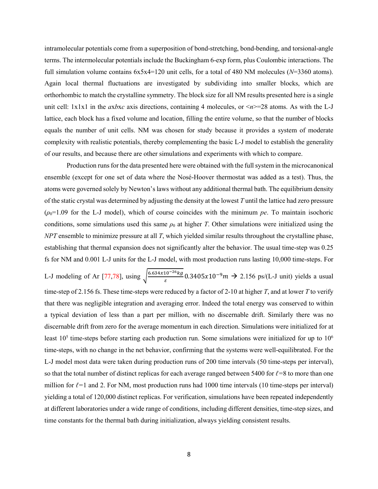intramolecular potentials come from a superposition of bond-stretching, bond-bending, and torsional-angle terms. The intermolecular potentials include the Buckingham 6-exp form, plus Coulombic interactions. The full simulation volume contains 6x5x4=120 unit cells, for a total of 480 NM molecules (*N*=3360 atoms). Again local thermal fluctuations are investigated by subdividing into smaller blocks, which are orthorhombic to match the crystalline symmetry. The block size for all NM results presented here is a single unit cell: 1x1x1 in the *a*x*b*x*c* axis directions, containing 4 molecules, or <*n*>=28 atoms. As with the L-J lattice, each block has a fixed volume and location, filling the entire volume, so that the number of blocks equals the number of unit cells. NM was chosen for study because it provides a system of moderate complexity with realistic potentials, thereby complementing the basic L-J model to establish the generality of our results, and because there are other simulations and experiments with which to compare.

Production runs for the data presented here were obtained with the full system in the microcanonical ensemble (except for one set of data where the Nosé-Hoover thermostat was added as a test). Thus, the atoms were governed solely by Newton's laws without any additional thermal bath. The equilibrium density of the static crystal was determined by adjusting the density at the lowest *T* until the lattice had zero pressure  $(\rho_0=1.09)$  for the L-J model), which of course coincides with the minimum *pe*. To maintain isochoric conditions, some simulations used this same  $\rho_0$  at higher *T*. Other simulations were initialized using the *NPT* ensemble to minimize pressure at all *T*, which yielded similar results throughout the crystalline phase, establishing that thermal expansion does not significantly alter the behavior. The usual time-step was 0.25 fs for NM and 0.001 L-J units for the L-J model, with most production runs lasting 10,000 time-steps. For

L-J modeling of Ar [\[77](#page-5-0)[,78\]](#page-5-1), using  $\sqrt{\frac{6.634 \times 10^{-26} kg}{\varepsilon}}$  0.3405 $x10^{-9}m \rightarrow 2.156$  ps/(L-J unit) yields a usual time-step of 2.156 fs. These time-steps were reduced by a factor of 2-10 at higher *T*, and at lower *T* to verify that there was negligible integration and averaging error. Indeed the total energy was conserved to within a typical deviation of less than a part per million, with no discernable drift. Similarly there was no discernable drift from zero for the average momentum in each direction. Simulations were initialized for at least  $10<sup>5</sup>$  time-steps before starting each production run. Some simulations were initialized for up to  $10<sup>6</sup>$ time-steps, with no change in the net behavior, confirming that the systems were well-equilibrated. For the L-J model most data were taken during production runs of 200 time intervals (50 time-steps per interval), so that the total number of distinct replicas for each average ranged between 5400 for *ℓ=*8 to more than one million for  $\ell$ =1 and 2. For NM, most production runs had 1000 time intervals (10 time-steps per interval) yielding a total of 120,000 distinct replicas. For verification, simulations have been repeated independently at different laboratories under a wide range of conditions, including different densities, time-step sizes, and time constants for the thermal bath during initialization, always yielding consistent results.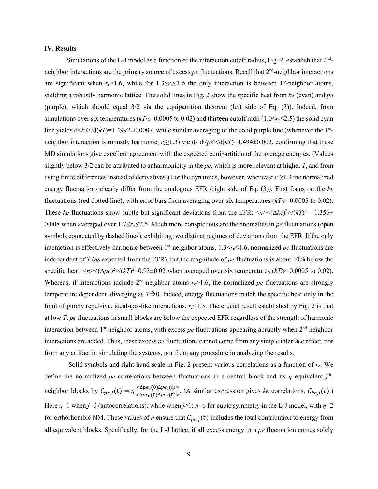#### **IV. Results**

Simulations of the L-J model as a function of the interaction cutoff radius, Fig. 2, establish that  $2^{nd}$ neighbor interactions are the primary source of excess *pe* fluctuations. Recall that 2<sup>nd</sup>-neighbor interactions are significant when  $r_c > 1.6$ , while for  $1.3 \le r \le 1.6$  the only interaction is between 1<sup>st</sup>-neighbor atoms, yielding a robustly harmonic lattice. The solid lines in Fig. 2 show the specific heat from *ke* (cyan) and *pe* (purple), which should equal 3/2 via the equipartition theorem (left side of Eq. (3)). Indeed, from simulations over six temperatures ( $kT/\epsilon$ =0.0005 to 0.02) and thirteen cutoff radii (1.0≤*r*<sub>c</sub>≤2.5) the solid cyan line yields  $d \leq ke \geq /d(k)$ =1.4992±0.0007, while similar averaging of the solid purple line (whenever the 1<sup>st</sup>neighbor interaction is robustly harmonic, *r*c≥1.3) yields d<*pe*>/d(*kT*)=1.494±0.002, confirming that these MD simulations give excellent agreement with the expected equipartition of the average energies. (Values slightly below 3/2 can be attributed to anharmonicity in the *pe*, which is more relevant at higher *T*, and from using finite differences instead of derivatives.) For the dynamics, however, whenever *r*c≥1.3 the normalized energy fluctuations clearly differ from the analogous EFR (right side of Eq. (3)). First focus on the *ke* fluctuations (red dotted line), with error bars from averaging over six temperatures ( $kT/\epsilon$ =0.0005 to 0.02). These *ke* fluctuations show subtle but significant deviations from the EFR:  $\langle n \rangle \langle \Delta k e^2 \rangle / (kT)^2 = 1.356 \pm 1.356$ 0.008 when averaged over 1.7≤*r*<sup>c</sup> ≤2.5. Much more conspicuous are the anomalies in *pe* fluctuations (open symbols connected by dashed lines), exhibiting two distinct regimes of deviations from the EFR. If the only interaction is effectively harmonic between 1st-neighbor atoms, 1.3≤*r*c≤1.6, normalized *pe* fluctuations are independent of *T* (as expected from the EFR), but the magnitude of *pe* fluctuations is about 40% below the specific heat:  $\langle n \rangle \langle \Delta p e \rangle^2$  /(*kT*)<sup>2</sup>=0.93±0.02 when averaged over six temperatures (*kT*/*ε*=0.0005 to 0.02). Whereas, if interactions include  $2<sup>nd</sup>$ -neighbor atoms  $r_c > 1.6$ , the normalized *pe* fluctuations are strongly temperature dependent, diverging as  $T\rightarrow 0$ . Indeed, energy fluctuations match the specific heat only in the limit of purely repulsive, ideal-gas-like interactions,  $r_c < 1.3$ . The crucial result established by Fig. 2 is that at low *T*, *pe* fluctuations in small blocks are below the expected EFR regardless of the strength of harmonic interaction between 1st-neighbor atoms, with excess *pe* fluctuations appearing abruptly when 2nd-neighbor interactions are added. Thus, these excess *pe* fluctuations cannot come from any simple interface effect, nor from any artifact in simulating the systems, nor from any procedure in analyzing the results.

Solid symbols and right-hand scale in Fig. 2 present various correlations as a function of  $r_c$ . We define the normalized *pe* correlations between fluctuations in a central block and its *η* equivalent *j* thneighbor blocks by  $C_{pe,j}(t) = \eta \frac{\langle \Delta pe_0(0) \Delta pe_j(t) \rangle}{\langle \Delta pe_0(0) \Delta pe_0(0) \rangle}$ . (A similar expression gives *ke* correlations,  $C_{ke,j}(t)$ .) Here *η*=1 when *j*=0 (autocorrelations), while when *j*≥1: *η*=6 for cubic symmetry in the L-J model, with *η*=2 for orthorhombic NM. These values of  $\eta$  ensure that  $C_{pe,i}(t)$  includes the total contribution to energy from all equivalent blocks. Specifically, for the L-J lattice, if all excess energy in a *pe* fluctuation comes solely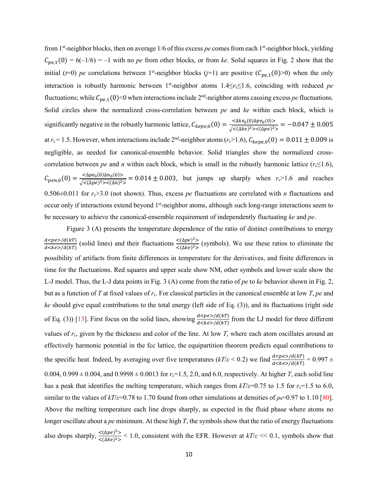from 1st-neighbor blocks, then on average 1/6 of this excess *pe* comes from each 1st-neighbor block, yielding  $C_{pe,1}(0) = 6(-1/6) = -1$  with no *pe* from other blocks, or from *ke*. Solid squares in Fig. 2 show that the initial ( $t=0$ ) *pe* correlations between 1<sup>st</sup>-neighbor blocks ( $j=1$ ) are positive ( $C_{pe,1}(0)$ >0) when the only interaction is robustly harmonic between 1st-neighbor atoms 1.4≤*r*c≤1.6, coinciding with reduced *pe* fluctuations; while  $C_{pe,1}(0)$  < 0 when interactions include 2<sup>nd</sup>-neighbor atoms causing excess *pe* fluctuations. Solid circles show the normalized cross-correlation between *pe* and *ke* within each block, which is significantly negative in the robustly harmonic lattice,  $C_{kepe,0}(0) = \frac{\langle \Delta ke_0(0) \Delta pe_0(0) \rangle}{\sqrt{\langle (\Delta ke)^2 \rangle \langle (\Delta pe)^2 \rangle}} = -0.047 \pm 0.005$ at  $r_c$ = 1.5. However, when interactions include 2<sup>nd</sup>-neighbor atoms ( $r_c$ >1.6),  $C_{kepe,0}(0) = 0.011 \pm 0.009$  is negligible, as needed for canonical-ensemble behavior. Solid triangles show the normalized crosscorrelation between *pe* and *n* within each block, which is small in the robustly harmonic lattice ( $r_c \leq 1.6$ ),  $C_{pen,0}(0) = \frac{<\Delta p e_0(0) \Delta n_0(0)>}{\sqrt{<(\Delta p e)^2> (\Delta n)^2>}} = 0.014 \pm 0.003$ , but jumps up sharply when *r*<sub>c</sub>>1.6 and reaches 0.506 $\pm$ 0.011 for  $r_c$ >3.0 (not shown). Thus, excess *pe* fluctuations are correlated with *n* fluctuations and occur only if interactions extend beyond 1st-neighbor atoms, although such long-range interactions seem to be necessary to achieve the canonical-ensemble requirement of independently fluctuating *ke* and *pe*.

Figure 3 (A) presents the temperature dependence of the ratio of distinct contributions to energy  $\frac{d < p e > / d(kT)}{d < k\epsilon}$  (solid lines) and their fluctuations  $\frac{<( \Delta p e)^2 >}{(< \Delta k e)^2 >}$  (symbols). We use these ratios to eliminate the possibility of artifacts from finite differences in temperature for the derivatives, and finite differences in time for the fluctuations. Red squares and upper scale show NM, other symbols and lower scale show the L-J model. Thus, the L-J data points in Fig. 3 (A) come from the ratio of *pe* to *ke* behavior shown in Fig. 2, but as a function of *T* at fixed values of *r*c. For classical particles in the canonical ensemble at low *T*, *pe* and *ke* should give equal contributions to the total energy (left side of Eq. (3)), and its fluctuations (right side of Eq. (3)) [\[13\]](#page-1-1). First focus on the solid lines, showing  $\frac{d(p e > f d(k))}{d \lt k e > f d(k)}$  from the LJ model for three different values of  $r_c$ , given by the thickness and color of the line. At low  $T$ , where each atom oscillates around an effectively harmonic potential in the fcc lattice, the equipartition theorem predicts equal contributions to the specific heat. Indeed, by averaging over five temperatures  $(kT/\varepsilon < 0.2)$  we find  $\frac{d \leq p \varepsilon > d(kT)}{d \leq k \varepsilon > d(kT)} = 0.997 \pm 0.002$ 0.004, 0.999  $\pm$  0.004, and 0.9998  $\pm$  0.0013 for  $r_c$ =1.5, 2.0, and 6.0, respectively. At higher *T*, each solid line has a peak that identifies the melting temperature, which ranges from  $kT/\epsilon=0.75$  to 1.5 for  $r_c=1.5$  to 6.0, similar to the values of  $kT/\varepsilon$ =0.78 to 1.70 found from other simulations at densities of  $\rho_0$ =0.97 to 1.10 [[80\]](#page-27-11). Above the melting temperature each line drops sharply, as expected in the fluid phase where atoms no longer oscillate about a *pe* minimum. At these high *T*, the symbols show that the ratio of energy fluctuations also drops sharply,  $\frac{\langle(\Delta pe)^2\rangle}{\langle(\Delta l \cdot e)^2\rangle}$  $\frac{(\Delta \mu \epsilon)^2}{(\Delta k \epsilon)^2}$  < 1.0, consistent with the EFR. However at  $kT/\epsilon \ll 0.1$ , symbols show that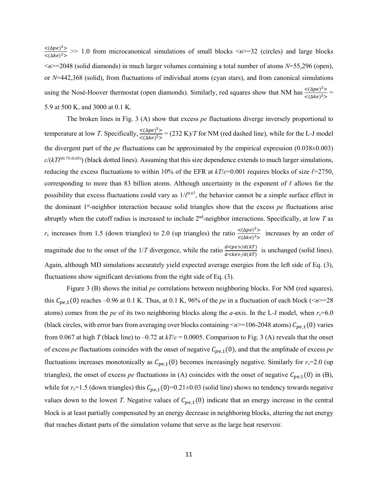$<(\Delta p e)^2>$  $\frac{(\Delta p \epsilon)^2}{(\Delta k \epsilon)^2}$  >> 1.0 from microcanonical simulations of small blocks <*n*>=32 (circles) and large blocks <*n*>=2048 (solid diamonds) in much larger volumes containing a total number of atoms *N*=55,296 (open), or *N*=442,368 (solid), from fluctuations of individual atoms (cyan stars), and from canonical simulations using the Nosé-Hoover thermostat (open diamonds). Similarly, red squares show that NM has  $\frac{<(\Delta pe)^2>}{<(\Delta ke)^2>}$ 5.9 at 500 K, and 3000 at 0.1 K.

The broken lines in Fig. 3 (A) show that excess *pe* fluctuations diverge inversely proportional to temperature at low *T*. Specifically,  $\frac{\langle (\Delta pe)^2 \rangle}{\langle (\Delta ke)^2 \rangle} = (232 \text{ K})/T$  for NM (red dashed line), while for the L-J model the divergent part of the *pe* fluctuations can be approximated by the empirical expression (0.038±0.003) *ε*/(*kTℓ*(0.75±0.05) ) (black dotted lines). Assuming that this size dependence extends to much larger simulations, reducing the excess fluctuations to within 10% of the EFR at  $kT/\epsilon$ =0.001 requires blocks of size  $\ell$ =2750, corresponding to more than 83 billion atoms. Although uncertainty in the exponent of *ℓ* allows for the possibility that excess fluctuations could vary as  $1/\ell^{0.67}$ , the behavior cannot be a simple surface effect in the dominant 1st-neighbor interaction because solid triangles show that the excess *pe* fluctuations arise abruptly when the cutoff radius is increased to include 2nd-neighbor interactions. Specifically, at low *T* as *r*<sub>c</sub> increases from 1.5 (down triangles) to 2.0 (up triangles) the ratio  $\frac{<(\Delta pe)^2>}{(<\Delta ke)^2>}$  increases by an order of magnitude due to the onset of the  $1/T$  divergence, while the ratio  $\frac{d < p$ e $> / d(kT)}{d < k$ e $> / d(kT)}$  is unchanged (solid lines). Again, although MD simulations accurately yield expected average energies from the left side of Eq. (3), fluctuations show significant deviations from the right side of Eq. (3).

Figure 3 (B) shows the initial *pe* correlations between neighboring blocks. For NM (red squares), this  $C_{pe,1}(0)$  reaches –0.96 at 0.1 K. Thus, at 0.1 K, 96% of the *pe* in a fluctuation of each block (<*n*>=28 atoms) comes from the *pe* of its two neighboring blocks along the *a*-axis. In the L-J model, when  $r_c=6.0$ (black circles, with error bars from averaging over blocks containing  $\langle n \rangle$  =106-2048 atoms)  $C_{pe,1}(0)$  varies from 0.067 at high *T* (black line) to  $-0.72$  at  $kT/\epsilon = 0.0005$ . Comparison to Fig. 3 (A) reveals that the onset of excess *pe* fluctuations coincides with the onset of negative  $C_{pe,1}(0)$ , and that the amplitude of excess *pe* fluctuations increases monotonically as  $C_{pe,1}(0)$  becomes increasingly negative. Similarly for  $r_c$ =2.0 (up triangles), the onset of excess *pe* fluctuations in (A) coincides with the onset of negative  $C_{pe,1}(0)$  in (B), while for  $r_c$ =1.5 (down triangles) this  $C_{pe,1}(0)$ =0.21±0.03 (solid line) shows no tendency towards negative values down to the lowest *T*. Negative values of  $C_{pe,1}(0)$  indicate that an energy increase in the central block is at least partially compensated by an energy decrease in neighboring blocks, altering the net energy that reaches distant parts of the simulation volume that serve as the large heat reservoir.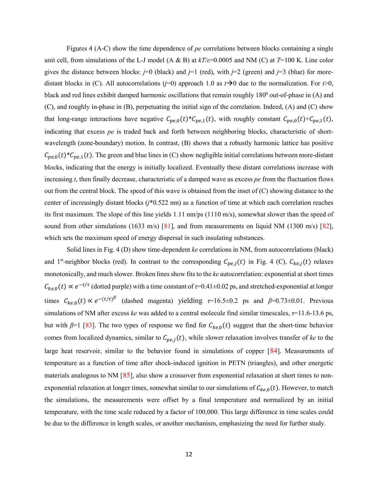Figures 4 (A-C) show the time dependence of *pe* correlations between blocks containing a single unit cell, from simulations of the L-J model (A & B) at *kT*/*ε*=0.0005 and NM (C) at *T*=100 K. Line color gives the distance between blocks:  $j=0$  (black) and  $j=1$  (red), with  $j=2$  (green) and  $j=3$  (blue) for moredistant blocks in (C). All autocorrelations (*j*=0) approach 1.0 as  $t\rightarrow 0$  due to the normalization. For  $t\geq 0$ , black and red lines exhibit damped harmonic oscillations that remain roughly 180<sup>0</sup> out-of-phase in (A) and (C), and roughly in-phase in (B), perpetuating the initial sign of the correlation. Indeed, (A) and (C) show that long-range interactions have negative  $C_{pe,0}(t)^* C_{pe,1}(t)$ , with roughly constant  $C_{pe,0}(t) + C_{pe,1}(t)$ , indicating that excess *pe* is traded back and forth between neighboring blocks, characteristic of shortwavelength (zone-boundary) motion. In contrast, (B) shows that a robustly harmonic lattice has positive  $C_{pe,0}(t)^* C_{pe,1}(t)$ . The green and blue lines in (C) show negligible initial correlations between more-distant blocks, indicating that the energy is initially localized. Eventually these distant correlations increase with increasing *t*, then finally decrease, characteristic of a damped wave as excess *pe* from the fluctuation flows out from the central block. The speed of this wave is obtained from the inset of (C) showing distance to the center of increasingly distant blocks (*j*\*0.522 nm) as a function of time at which each correlation reaches its first maximum. The slope of this line yields 1.11 nm/ps (1110 m/s), somewhat slower than the speed of sound from other simulations (1633 m/s) [[81\]](#page-27-12), and from measurements on liquid NM (1300 m/s) [[82\]](#page-27-13), which sets the maximum speed of energy dispersal in such insulating substances.

<span id="page-11-0"></span>Solid lines in Fig. 4 (D) show time-dependent *ke* correlations in NM, from autocorrelations (black) and 1<sup>st</sup>-neighbor blocks (red). In contrast to the corresponding  $C_{pe,j}(t)$  in Fig. 4 (C),  $C_{ke,j}(t)$  relaxes monotonically, and much slower. Broken lines show fits to the *ke* autocorrelation: exponential at short times  $C_{ke,0}(t) \propto e^{-t/\tau}$  (dotted purple) with a time constant of  $\tau$ =0.41±0.02 ps, and stretched-exponential at longer times  $C_{ke,0}(t) \propto e^{-(t/\tau)^{\beta}}$  (dashed magenta) yielding  $\tau=16.5\pm0.2$  ps and  $\beta=0.73\pm0.01$ . Previous simulations of NM after excess *ke* was added to a central molecule find similar timescales,  $\tau$ =11.6-13.6 ps, but with  $\beta$ =1 [\[83\]](#page-27-14). The two types of response we find for  $C_{ke,0}(t)$  suggest that the short-time behavior comes from localized dynamics, similar to  $C_{pe,j}(t)$ , while slower relaxation involves transfer of *ke* to the large heat reservoir, similar to the behavior found in simulations of copper [[84\]](#page-27-15). Measurements of temperature as a function of time after shock-induced ignition in PETN (triangles), and other energetic materials analogous to NM [[85](#page-27-16)], also show a crossover from exponential relaxation at short times to nonexponential relaxation at longer times, somewhat similar to our simulations of  $C_{ke,0}(t)$ . However, to match the simulations, the measurements were offset by a final temperature and normalized by an initial temperature, with the time scale reduced by a factor of 100,000. This large difference in time scales could be due to the difference in length scales, or another mechanism, emphasizing the need for further study.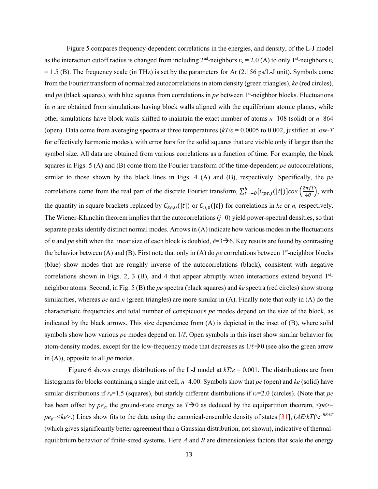Figure 5 compares frequency-dependent correlations in the energies, and density, of the L-J model as the interaction cutoff radius is changed from including  $2^{nd}$ -neighbors  $r_c = 2.0$  (A) to only 1<sup>st</sup>-neighbors  $r_c$  $= 1.5$  (B). The frequency scale (in THz) is set by the parameters for Ar (2.156 ps/L-J unit). Symbols come from the Fourier transform of normalized autocorrelations in atom density (green triangles), *ke* (red circles), and *pe* (black squares), with blue squares from correlations in *pe* between 1<sup>st</sup>-neighbor blocks. Fluctuations in *n* are obtained from simulations having block walls aligned with the equilibrium atomic planes, while other simulations have block walls shifted to maintain the exact number of atoms *n*=108 (solid) or *n*=864 (open). Data come from averaging spectra at three temperatures  $(kT/\varepsilon = 0.0005$  to 0.002, justified at low-*T* for effectively harmonic modes), with error bars for the solid squares that are visible only if larger than the symbol size. All data are obtained from various correlations as a function of time. For example, the black squares in Figs. 5 (A) and (B) come from the Fourier transform of the time-dependent *pe* autocorrelations, similar to those shown by the black lines in Figs. 4 (A) and (B), respectively. Specifically, the *pe* correlations come from the real part of the discrete Fourier transform,  $\sum_{t=-\theta}^{\theta} [C_{pe,j}(|t|)] cos(\frac{2\pi ft}{4\theta})$ , with the quantity in square brackets replaced by  $C_{ke,0}(|t|)$  or  $C_{n,0}(|t|)$  for correlations in *ke* or *n*, respectively. The Wiener-Khinchin theorem implies that the autocorrelations (*j*=0) yield power-spectral densities, so that separate peaks identify distinct normal modes. Arrows in (A) indicate how various modes in the fluctuations of *n* and *pe* shift when the linear size of each block is doubled,  $l=3\rightarrow6$ . Key results are found by contrasting the behavior between (A) and (B). First note that only in (A) do *pe* correlations between 1st-neighbor blocks (blue) show modes that are roughly inverse of the autocorrelations (black), consistent with negative correlations shown in Figs. 2, 3 (B), and 4 that appear abruptly when interactions extend beyond  $1<sup>st</sup>$ neighbor atoms. Second, in Fig. 5 (B) the *pe* spectra (black squares) and *ke* spectra (red circles) show strong similarities, whereas *pe* and *n* (green triangles) are more similar in (A). Finally note that only in (A) do the characteristic frequencies and total number of conspicuous *pe* modes depend on the size of the block, as indicated by the black arrows. This size dependence from (A) is depicted in the inset of (B), where solid symbols show how various *pe* modes depend on 1/*ℓ*. Open symbols in this inset show similar behavior for atom-density modes, except for the low-frequency mode that decreases as  $1/\ell \rightarrow 0$  (see also the green arrow in (A)), opposite to all *pe* modes.

Figure 6 shows energy distributions of the L-J model at *kT*/*ε* = 0.001. The distributions are from histograms for blocks containing a single unit cell, *n*=4.00. Symbols show that *pe* (open) and *ke* (solid) have similar distributions if  $r_c$ =1.5 (squares), but starkly different distributions if  $r_c$ =2.0 (circles). (Note that *pe* has been offset by  $pe_g$ , the ground-state energy as  $T\rightarrow 0$  as deduced by the equipartition theorem,  $\leq pe \geq -1$ *peg*=<*ke*>.) Lines show fits to the data using the canonical-ensemble density of states [\[31\]](#page-2-4), (*AE*/*kT*) γ e–*BE/kT* (which gives significantly better agreement than a Gaussian distribution, not shown), indicative of thermalequilibrium behavior of finite-sized systems. Here *A* and *B* are dimensionless factors that scale the energy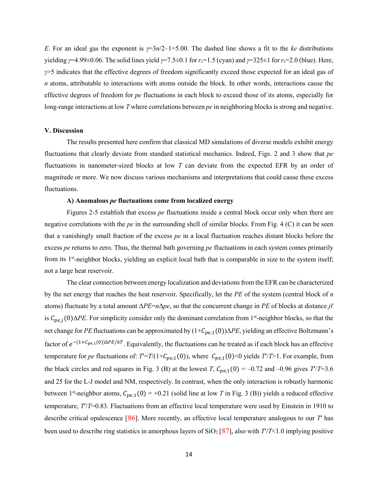*E*. For an ideal gas the exponent is *γ*=3*n*/2–1=5.00. The dashed line shows a fit to the *ke* distributions yielding *γ*=4.99±0.06. The solid lines yield *γ*=7.5±0.1 for *r<sub>c</sub>*=1.5 (cyan) and *γ*=325±1 for *r<sub>c</sub>*=2.0 (blue). Here, *γ*>5 indicates that the effective degrees of freedom significantly exceed those expected for an ideal gas of *n* atoms, attributable to interactions with atoms outside the block. In other words, interactions cause the effective degrees of freedom for *pe* fluctuations in each block to exceed those of its atoms, especially for long-range interactions at low *T* where correlations between *pe* in neighboring blocks is strong and negative.

#### **V. Discussion**

The results presented here confirm that classical MD simulations of diverse models exhibit energy fluctuations that clearly deviate from standard statistical mechanics. Indeed, Figs. 2 and 3 show that *pe* fluctuations in nanometer-sized blocks at low *T* can deviate from the expected EFR by an order of magnitude or more. We now discuss various mechanisms and interpretations that could cause these excess fluctuations.

#### **A) Anomalous** *pe* **fluctuations come from localized energy**

Figures 2-5 establish that excess *pe* fluctuations inside a central block occur only when there are negative correlations with the *pe* in the surrounding shell of similar blocks. From Fig. 4 (C) it can be seen that a vanishingly small fraction of the excess *pe* in a local fluctuation reaches distant blocks before the excess *pe* returns to zero. Thus, the thermal bath governing *pe* fluctuations in each system comes primarily from its 1st-neighbor blocks, yielding an explicit local bath that is comparable in size to the system itself; not a large heat reservoir.

The clear connection between energy localization and deviations from the EFR can be characterized by the net energy that reaches the heat reservoir. Specifically, let the *PE* of the system (central block of *n* atoms) fluctuate by a total amount Δ*PE*=*n*Δ*pe*, so that the concurrent change in *PE* of blocks at distance *jℓ* is  $C_{pe,i}(0)\Delta PE$ . For simplicity consider only the dominant correlation from 1<sup>st</sup>-neighbor blocks, so that the net change for *PE* fluctuations can be approximated by  $(1+C_{pe,1}(0))\Delta PE$ , yielding an effective Boltzmann's factor of  $e^{-(1+C_{pe,1}(0))\Delta PE/kT}$ . Equivalently, the fluctuations can be treated as if each block has an effective temperature for *pe* fluctuations of:  $T=T/(1+C_{pe,1}(0))$ , where  $C_{pe,1}(0)$ <0 yields  $T/T>1$ . For example, from the black circles and red squares in Fig. 3 (B) at the lowest *T*,  $C_{pe,1}(0) = -0.72$  and  $-0.96$  gives *T*<sup> $/$ *T*=3.6</sup> and 25 for the L-J model and NM, respectively. In contrast, when the only interaction is robustly harmonic between 1<sup>st</sup>-neighbor atoms,  $C_{pe,1}(0) = +0.21$  (solid line at low *T* in Fig. 3 (B)) yields a reduced effective temperature, *T*′/*T*=0.83. Fluctuations from an effective local temperature were used by Einstein in 1910 to describe critical opalescence [[86](#page-27-17)]. More recently, an effective local temperature analogous to our *T*′ has been used to describe ring statistics in amorphous layers of  $SiO<sub>2</sub> [87]$  $SiO<sub>2</sub> [87]$  $SiO<sub>2</sub> [87]$ , also with  $T/T<1.0$  implying positive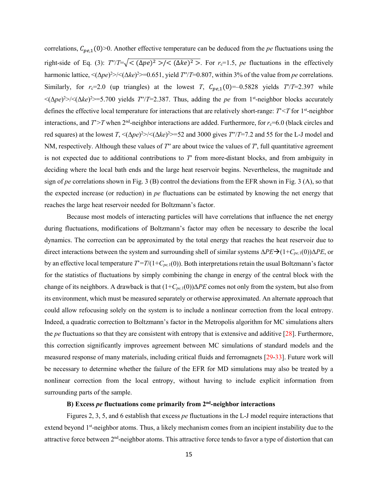correlations,  $C_{pe,1}(0)$ >0. Another effective temperature can be deduced from the *pe* fluctuations using the right-side of Eq. (3):  $T''/T=\sqrt{\langle(\Delta p e)^2\rangle/\langle(\Delta k e)^2\rangle}$ . For  $r_c=1.5$ , *pe* fluctuations in the effectively harmonic lattice, <(Δ*pe*) 2 >/<(Δ*ke*) 2 >=0.651, yield *T*′′/*T*=0.807, within 3% of the value from *pe* correlations. Similarly, for  $r_c=2.0$  (up triangles) at the lowest *T*,  $C_{pe,1}(0)=-0.5828$  yields  $T/T=2.397$  while <(Δ*pe*) 2 >/<(Δ*ke*) 2 >=5.700 yields *T*′′/*T*=2.387. Thus, adding the *pe* from 1st-neighbor blocks accurately defines the effective local temperature for interactions that are relatively short-range: *T*'<*T* for 1st-neighbor interactions, and  $T>T$  when  $2<sup>nd</sup>$ -neighbor interactions are added. Furthermore, for  $r_c=6.0$  (black circles and red squares) at the lowest  $T$ ,  $\langle \Delta pe \rangle^2$  $\ge$   $\le$ ( $\Delta ke$ )<sup>2</sup> $>$ =52 and 3000 gives  $T''/T$ =7.2 and 55 for the L-J model and NM, respectively. Although these values of *T'* are about twice the values of *T*', full quantitative agreement is not expected due to additional contributions to *T*′ from more-distant blocks, and from ambiguity in deciding where the local bath ends and the large heat reservoir begins. Nevertheless, the magnitude and sign of *pe* correlations shown in Fig. 3 (B) control the deviations from the EFR shown in Fig. 3 (A), so that the expected increase (or reduction) in *pe* fluctuations can be estimated by knowing the net energy that reaches the large heat reservoir needed for Boltzmann's factor.

Because most models of interacting particles will have correlations that influence the net energy during fluctuations, modifications of Boltzmann's factor may often be necessary to describe the local dynamics. The correction can be approximated by the total energy that reaches the heat reservoir due to direct interactions between the system and surrounding shell of similar systems  $\Delta PE \rightarrow (1+C_{pe,1}(0))\Delta PE$ , or by an effective local temperature  $T=T/(1+C_{pe,1}(0))$ . Both interpretations retain the usual Boltzmann's factor for the statistics of fluctuations by simply combining the change in energy of the central block with the change of its neighbors. A drawback is that (1+*Cpe,*1(0))Δ*PE* comes not only from the system, but also from its environment, which must be measured separately or otherwise approximated. An alternate approach that could allow refocusing solely on the system is to include a nonlinear correction from the local entropy. Indeed, a quadratic correction to Boltzmann's factor in the Metropolis algorithm for MC simulations alters the *pe* fluctuations so that they are consistent with entropy that is extensive and additive [\[28\]](#page-2-0). Furthermore, this correction significantly improves agreement between MC simulations of standard models and the measured response of many materials, including critical fluids and ferromagnets [\[29-](#page-2-5)[33\]](#page-2-1). Future work will be necessary to determine whether the failure of the EFR for MD simulations may also be treated by a nonlinear correction from the local entropy, without having to include explicit information from surrounding parts of the sample.

# **B) Excess** *pe* **fluctuations come primarily from 2nd-neighbor interactions**

Figures 2, 3, 5, and 6 establish that excess *pe* fluctuations in the L-J model require interactions that extend beyond 1<sup>st</sup>-neighbor atoms. Thus, a likely mechanism comes from an incipient instability due to the attractive force between 2<sup>nd</sup>-neighbor atoms. This attractive force tends to favor a type of distortion that can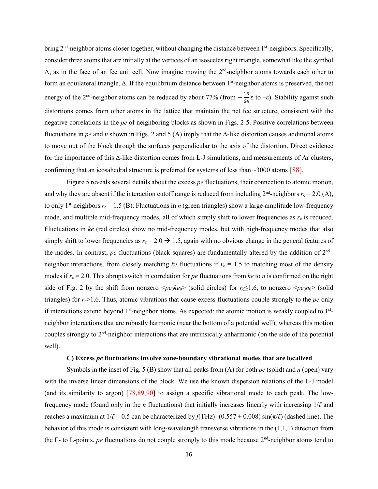bring 2<sup>nd</sup>-neighbor atoms closer together, without changing the distance between 1<sup>st</sup>-neighbors. Specifically, consider three atoms that are initially at the vertices of an isosceles right triangle, somewhat like the symbol  $\Lambda$ , as in the face of an fcc unit cell. Now imagine moving the  $2<sup>nd</sup>$ -neighbor atoms towards each other to form an equilateral triangle, ∆. If the equilibrium distance between 1st-neighbor atoms is preserved, the net energy of the 2<sup>nd</sup>-neighbor atoms can be reduced by about 77% (from  $-\frac{15}{64}\epsilon$  to  $-\epsilon$ ). Stability against such distortions comes from other atoms in the lattice that maintain the net fcc structure, consistent with the negative correlations in the *pe* of neighboring blocks as shown in Figs. 2-5. Positive correlations between fluctuations in *pe* and *n* shown in Figs. 2 and 5 (A) imply that the ∆-like distortion causes additional atoms to move out of the block through the surfaces perpendicular to the axis of the distortion. Direct evidence for the importance of this ∆-like distortion comes from L-J simulations, and measurements of Ar clusters, confirming that an icosahedral structure is preferred for systems of less than ~3000 atoms [[88](#page-27-19)].

<span id="page-15-0"></span>Figure 5 reveals several details about the excess *pe* fluctuations, their connection to atomic motion, and why they are absent if the interaction cutoff range is reduced from including  $2<sup>nd</sup>$ -neighbors  $r_c = 2.0$  (A), to only 1<sup>st</sup>-neighbors  $r_c = 1.5$  (B). Fluctuations in *n* (green triangles) show a large-amplitude low-frequency mode, and multiple mid-frequency modes, all of which simply shift to lower frequencies as  $r_c$  is reduced. Fluctuations in *ke* (red circles) show no mid-frequency modes, but with high-frequency modes that also simply shift to lower frequencies as  $r_c = 2.0 \rightarrow 1.5$ , again with no obvious change in the general features of the modes. In contrast, *pe* fluctuations (black squares) are fundamentally altered by the addition of 2<sup>nd</sup>– neighbor interactions, from closely matching *ke* fluctuations if  $r_c = 1.5$  to matching most of the density modes if  $r_c = 2.0$ . This abrupt switch in correlation for *pe* fluctuations from *ke* to *n* is confirmed on the right side of Fig. 2 by the shift from nonzero  $\langle pe_0ke_0\rangle$  (solid circles) for  $r_c\leq 1.6$ , to nonzero  $\langle pe_0n_0\rangle$  (solid triangles) for *r*c>1.6. Thus, atomic vibrations that cause excess fluctuations couple strongly to the *pe* only if interactions extend beyond  $1<sup>st</sup>$ -neighbor atoms. As expected: the atomic motion is weakly coupled to  $1<sup>st</sup>$ neighbor interactions that are robustly harmonic (near the bottom of a potential well), whereas this motion couples strongly to 2nd-neighbor interactions that are intrinsically anharmonic (on the side of the potential well).

#### **C) Excess** *pe* **fluctuations involve zone-boundary vibrational modes that are localized**

Symbols in the inset of Fig. 5 (B) show that all peaks from (A) for both *pe* (solid) and *n* (open) vary with the inverse linear dimensions of the block. We use the known dispersion relations of the L-J model (and its similarity to argon) [\[78,](#page-5-1)[89,](#page-27-20)[90](#page-28-0)] to assign a specific vibrational mode to each peak. The lowfrequency mode (found only in the *n* fluctuations) that initially increases linearly with increasing 1/*ℓ* and reaches a maximum at  $1/\ell = 0.5$  can be characterized by  $f(THz)=(0.557 \pm 0.008) \sin(\pi/\ell)$  (dashed line). The behavior of this mode is consistent with long-wavelength transverse vibrations in the (1,1,1) direction from the Γ- to L-points. *pe* fluctuations do not couple strongly to this mode because 2<sup>nd</sup>-neighbor atoms tend to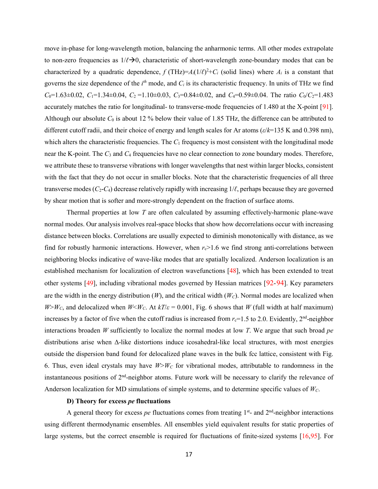move in-phase for long-wavelength motion, balancing the anharmonic terms. All other modes extrapolate to non-zero frequencies as 1/*ℓ*0, characteristic of short-wavelength zone-boundary modes that can be characterized by a quadratic dependence,  $f (THz) = A_i(1/\ell)^2 + C_i$  (solid lines) where  $A_i$  is a constant that governs the size dependence of the  $i<sup>th</sup>$  mode, and  $C<sub>i</sub>$  is its characteristic frequency. In units of THz we find  $C_0$ =1.63±0.02,  $C_1$ =1.34±0.04,  $C_2$ =1.10±0.03,  $C_3$ =0.84±0.02, and  $C_4$ =0.59±0.04. The ratio  $C_0/C_2$ =1.483 accurately matches the ratio for longitudinal- to transverse-mode frequencies of 1.480 at the X-point [[91\]](#page-28-1). Although our absolute  $C_0$  is about 12 % below their value of 1.85 THz, the difference can be attributed to different cutoff radii, and their choice of energy and length scales for Ar atoms (*ε*/*k*=135 K and 0.398 nm), which alters the characteristic frequencies. The  $C_1$  frequency is most consistent with the longitudinal mode near the K-point. The *C*<sup>3</sup> and *C*<sup>4</sup> frequencies have no clear connection to zone boundary modes. Therefore, we attribute these to transverse vibrations with longer wavelengths that nest within larger blocks, consistent with the fact that they do not occur in smaller blocks. Note that the characteristic frequencies of all three transverse modes (*C*2-*C*4) decrease relatively rapidly with increasing 1/*ℓ*, perhaps because they are governed by shear motion that is softer and more-strongly dependent on the fraction of surface atoms.

Thermal properties at low *T* are often calculated by assuming effectively-harmonic plane-wave normal modes. Our analysis involves real-space blocks that show how decorrelations occur with increasing distance between blocks. Correlations are usually expected to diminish monotonically with distance, as we find for robustly harmonic interactions. However, when  $r_c$  > 1.6 we find strong anti-correlations between neighboring blocks indicative of wave-like modes that are spatially localized. Anderson localization is an established mechanism for localization of electron wavefunctions [\[48\]](#page-2-6), which has been extended to treat other systems [\[49\]](#page-2-7), including vibrational modes governed by Hessian matrices [\[92](#page-28-2)-[94](#page-28-3)]. Key parameters are the width in the energy distribution (*W*), and the critical width (*WC*). Normal modes are localized when *W* $\leq$ *W<sub>C</sub>*, and delocalized when *W* $\leq$ *W<sub>C</sub>*. At  $kT/\varepsilon$  = 0.001, Fig. 6 shows that *W* (full width at half maximum) increases by a factor of five when the cutoff radius is increased from  $r_c$ =1.5 to 2.0. Evidently, 2<sup>nd</sup>-neighbor interactions broaden *W* sufficiently to localize the normal modes at low *T*. We argue that such broad *pe* distributions arise when Δ-like distortions induce icosahedral-like local structures, with most energies outside the dispersion band found for delocalized plane waves in the bulk fcc lattice, consistent with Fig. 6. Thus, even ideal crystals may have  $W > W_C$  for vibrational modes, attributable to randomness in the instantaneous positions of 2nd-neighbor atoms. Future work will be necessary to clarify the relevance of Anderson localization for MD simulations of simple systems, and to determine specific values of *WC*.

#### **D) Theory for excess** *pe* **fluctuations**

A general theory for excess *pe* fluctuations comes from treating  $1<sup>st</sup>$ - and  $2<sup>nd</sup>$ -neighbor interactions using different thermodynamic ensembles. All ensembles yield equivalent results for static properties of large systems, but the correct ensemble is required for fluctuations of finite-sized systems [\[16,](#page-1-2)[95](#page-28-4)]. For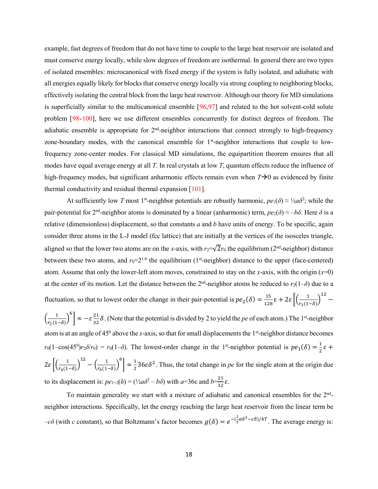example, fast degrees of freedom that do not have time to couple to the large heat reservoir are isolated and must conserve energy locally, while slow degrees of freedom are isothermal. In general there are two types of isolated ensembles: microcanonical with fixed energy if the system is fully isolated, and adiabatic with all energies equally likely for blocks that conserve energy locally via strong coupling to neighboring blocks, effectively isolating the central block from the large heat reservoir. Although our theory for MD simulations is superficially similar to the multicanonical ensemble [[96](#page-28-5),[97\]](#page-28-6) and related to the hot solvent-cold solute problem [[98](#page-28-7)[-](#page-28-8)[100\]](#page-28-9), here we use different ensembles concurrently for distinct degrees of freedom. The adiabatic ensemble is appropriate for  $2<sup>nd</sup>$ -neighbor interactions that connect strongly to high-frequency zone-boundary modes, with the canonical ensemble for  $1<sup>st</sup>$ -neighbor interactions that couple to lowfrequency zone-center modes. For classical MD simulations, the equipartition theorem ensures that all modes have equal average energy at all *T*. In real crystals at low *T*, quantum effects reduce the influence of high-frequency modes, but significant anharmonic effects remain even when  $T\rightarrow 0$  as evidenced by finite thermal conductivity and residual thermal expansion [[101\]](#page-28-10).

At sufficiently low *T* most 1<sup>st</sup>-neighbor potentials are robustly harmonic,  $pe_1(\delta) \approx \frac{1}{2}a\delta^2$ ; while the pair-potential for 2<sup>nd</sup>-neighbor atoms is dominated by a linear (anharmonic) term,  $pe_2(\delta) \approx -b\delta$ . Here  $\delta$  is a relative (dimensionless) displacement, so that constants *a* and *b* have units of energy. To be specific, again consider three atoms in the L-J model (fcc lattice) that are initially at the vertices of the isosceles triangle, aligned so that the lower two atoms are on the *x*-axis, with  $r_2=\sqrt{2}r_0$  the equilibrium (2<sup>nd</sup>-neighbor) distance between these two atoms, and  $r_0=2^{1/6}$  the equilibrium (1<sup>st</sup>-neighbor) distance to the upper (face-centered) atom. Assume that only the lower-left atom moves, constrained to stay on the *x*-axis, with the origin  $(x=0)$ at the center of its motion. Let the distance between the  $2<sup>nd</sup>$ -neighbor atoms be reduced to  $r_2(1-\delta)$  due to a fluctuation, so that to lowest order the change in their pair-potential is  $pe_2(\delta) = \frac{15}{128} \epsilon + 2\epsilon \left[ \left( \frac{1}{r_2(1-\delta)} \right)$ 12 −

 $\left(\frac{1}{r_2(1-\delta)}\right)$ 6  $\approx -\varepsilon \frac{21}{32}$  $\frac{21}{32}\delta$ . (Note that the potential is divided by 2 to yield the *pe* of each atom.) The 1<sup>st</sup>-neighbor atom is at an angle of 45<sup>0</sup> above the *x*-axis, so that for small displacements the 1<sup>st</sup>-neighbor distance becomes  $r_0(1-\cos(45^\circ)r_2\delta/r_0) = r_0(1-\delta)$ . The lowest-order change in the 1<sup>st</sup>-neighbor potential is  $pe_1(\delta) = \frac{1}{2}\varepsilon +$  $2\varepsilon\left\lfloor\left(\frac{1}{r_0(1-\delta)}\right)\right\rfloor$  $\frac{12}{r_0(1-\delta)} - \left(\frac{1}{r_0(1-\delta)}\right)$  $\left[\frac{6}{2}\right] \approx \frac{1}{2}36\varepsilon\delta^2$ . Thus, the total change in *pe* for the single atom at the origin due to its displacement is:  $pe_{1+2}(\delta) = (\frac{1}{2}a\delta^2 - b\delta)$  with  $a=36\varepsilon$  and  $b=\frac{21}{32}$  $rac{21}{32}$ E.

To maintain generality we start with a mixture of adiabatic and canonical ensembles for the 2ndneighbor interactions. Specifically, let the energy reaching the large heat reservoir from the linear term be  $-c\delta$  (with *c* constant), so that Boltzmann's factor becomes  $g(\delta) = e^{-\frac{1}{2\delta}}$  $\frac{1}{2}a\delta^2-c\delta$ /kT. The average energy is: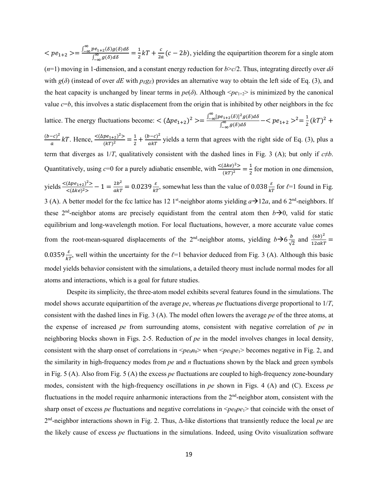$\langle p e_{1+2} \rangle = \frac{\int_{-\infty}^{\infty} p e_{1+2}(\delta) g(\delta) d\delta}{\int_{-\infty}^{\infty} g(\delta) d\delta} = \frac{1}{2} kT + \frac{c}{2a} (c - 2b)$ , yielding the equipartition theorem for a single atom (*n*=1) moving in 1-dimension, and a constant energy reduction for *b*>*c*/2. Thus, integrating directly over *dδ* with  $g(\delta)$  (instead of over *dE* with  $p_E g_E$ ) provides an alternative way to obtain the left side of Eq. (3), and the heat capacity is unchanged by linear terms in  $pe(\delta)$ . Although  $\leq pe_{1+2}$  is minimized by the canonical value  $c=b$ , this involves a static displacement from the origin that is inhibited by other neighbors in the fcc lattice. The energy fluctuations become:  $\langle (\Delta p e_{1+2})^2 \rangle = \frac{\int_{-\infty}^{\infty} [p e_{1+2}(\delta)]^2 g(\delta) d\delta}{\int_{-\infty}^{\infty} g(\delta) d\delta} - \langle p e_{1+2} \rangle^2 = \frac{1}{2} (kT)^2 +$  $\frac{(b-c)^2}{a}kT$ . Hence,  $\frac{<(\Delta pe_{1+2})^2>}{(kT)^2} = \frac{1}{2} + \frac{(b-c)^2}{akT}$  yields a term that agrees with the right side of Eq. (3), plus a term that diverges as  $1/T$ , qualitatively consistent with the dashed lines in Fig. 3 (A); but only if  $c \neq b$ . Quantitatively, using *c*=0 for a purely adiabatic ensemble, with  $\frac{<((\Delta k \epsilon)^2>}{(kT)^2} = \frac{1}{2}$  for motion in one dimension, yields  $\frac{\langle (\Delta pe_{1+2})^2 \rangle}{\langle (\Delta ke)^2 \rangle} - 1 = \frac{2b^2}{akT} = 0.0239 \frac{\varepsilon}{kr}$ , somewhat less than the value of 0.038  $\frac{\varepsilon}{kT}$  for  $\ell$ =1 found in Fig. 3 (A). A better model for the fcc lattice has 12 1<sup>st</sup>-neighbor atoms yielding  $a\rightarrow 12a$ , and 6 2<sup>nd</sup>-neighbors. If these  $2<sup>nd</sup>$ -neighbor atoms are precisely equidistant from the central atom then  $b\rightarrow 0$ , valid for static equilibrium and long-wavelength motion. For local fluctuations, however, a more accurate value comes from the root-mean-squared displacements of the 2<sup>nd</sup>-neighbor atoms, yielding  $b \rightarrow 6 \frac{b}{\sqrt{2}}$  and  $\frac{(6b)^2}{12akT}$  $0.0359 \frac{\varepsilon}{kT}$ , well within the uncertainty for the  $\ell$ =1 behavior deduced from Fig. 3 (A). Although this basic model yields behavior consistent with the simulations, a detailed theory must include normal modes for all atoms and interactions, which is a goal for future studies.

Despite its simplicity, the three-atom model exhibits several features found in the simulations. The model shows accurate equipartition of the average *pe*, whereas *pe* fluctuations diverge proportional to 1/*T*, consistent with the dashed lines in Fig. 3 (A). The model often lowers the average *pe* of the three atoms, at the expense of increased *pe* from surrounding atoms, consistent with negative correlation of *pe* in neighboring blocks shown in Figs. 2-5. Reduction of *pe* in the model involves changes in local density, consistent with the sharp onset of correlations in  $\langle p e_0 p_0 \rangle$  when  $\langle p e_0 p e_1 \rangle$  becomes negative in Fig. 2, and the similarity in high-frequency modes from *pe* and *n* fluctuations shown by the black and green symbols in Fig. 5 (A). Also from Fig. 5 (A) the excess *pe* fluctuations are coupled to high-frequency zone-boundary modes, consistent with the high-frequency oscillations in *pe* shown in Figs. 4 (A) and (C). Excess *pe* fluctuations in the model require anharmonic interactions from the 2<sup>nd</sup>-neighbor atom, consistent with the sharp onset of excess *pe* fluctuations and negative correlations in  $\langle p_e \rho_e \rho_e \rangle$  that coincide with the onset of 2nd-neighbor interactions shown in Fig. 2. Thus, Δ-like distortions that transiently reduce the local *pe* are the likely cause of excess *pe* fluctuations in the simulations. Indeed, using Ovito visualization software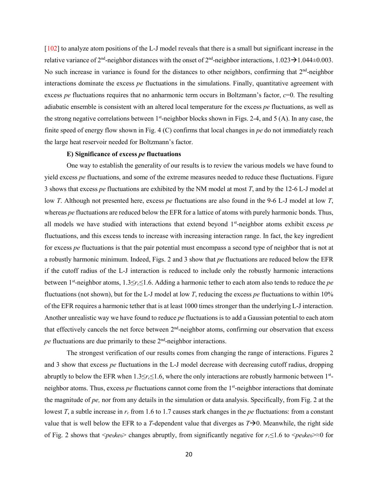[[102\]](#page-28-11) to analyze atom positions of the L-J model reveals that there is a small but significant increase in the relative variance of  $2<sup>nd</sup>$ -neighbor distances with the onset of  $2<sup>nd</sup>$ -neighbor interactions,  $1.023 \rightarrow 1.044 \pm 0.003$ . No such increase in variance is found for the distances to other neighbors, confirming that 2<sup>nd</sup>-neighbor interactions dominate the excess *pe* fluctuations in the simulations. Finally, quantitative agreement with excess *pe* fluctuations requires that no anharmonic term occurs in Boltzmann's factor, *c*=0. The resulting adiabatic ensemble is consistent with an altered local temperature for the excess *pe* fluctuations, as well as the strong negative correlations between 1st-neighbor blocks shown in Figs. 2-4, and 5 (A). In any case, the finite speed of energy flow shown in Fig. 4 (C) confirms that local changes in *pe* do not immediately reach the large heat reservoir needed for Boltzmann's factor.

### **E) Significance of excess** *pe* **fluctuations**

One way to establish the generality of our results is to review the various models we have found to yield excess *pe* fluctuations, and some of the extreme measures needed to reduce these fluctuations. Figure 3 shows that excess *pe* fluctuations are exhibited by the NM model at most *T*, and by the 12-6 L-J model at low *T*. Although not presented here, excess *pe* fluctuations are also found in the 9-6 L-J model at low *T*, whereas *pe* fluctuations are reduced below the EFR for a lattice of atoms with purely harmonic bonds. Thus, all models we have studied with interactions that extend beyond 1st-neighbor atoms exhibit excess *pe* fluctuations, and this excess tends to increase with increasing interaction range. In fact, the key ingredient for excess *pe* fluctuations is that the pair potential must encompass a second type of neighbor that is not at a robustly harmonic minimum. Indeed, Figs. 2 and 3 show that *pe* fluctuations are reduced below the EFR if the cutoff radius of the L-J interaction is reduced to include only the robustly harmonic interactions between 1st-neighbor atoms, 1.3≤*rc*≤1.6. Adding a harmonic tether to each atom also tends to reduce the *pe* fluctuations (not shown), but for the L-J model at low *T*, reducing the excess *pe* fluctuations to within 10% of the EFR requires a harmonic tether that is at least 1000 times stronger than the underlying L-J interaction. Another unrealistic way we have found to reduce *pe* fluctuations is to add a Gaussian potential to each atom that effectively cancels the net force between 2nd-neighbor atoms, confirming our observation that excess  $pe$  fluctuations are due primarily to these  $2<sup>nd</sup>$ -neighbor interactions.

The strongest verification of our results comes from changing the range of interactions. Figures 2 and 3 show that excess *pe* fluctuations in the L-J model decrease with decreasing cutoff radius, dropping abruptly to below the EFR when 1.3≤*rc*≤1.6, where the only interactions are robustly harmonic between 1stneighbor atoms. Thus, excess *pe* fluctuations cannot come from the 1st-neighbor interactions that dominate the magnitude of *pe,* nor from any details in the simulation or data analysis. Specifically, from Fig. 2 at the lowest *T*, a subtle increase in *rc* from 1.6 to 1.7 causes stark changes in the *pe* fluctuations: from a constant value that is well below the EFR to a *T*-dependent value that diverges as  $T\rightarrow 0$ . Meanwhile, the right side of Fig. 2 shows that  $\langle pe_0ke_0 \rangle$  changes abruptly, from significantly negative for  $r_c \le 1.6$  to  $\langle pe_0ke_0 \rangle \approx 0$  for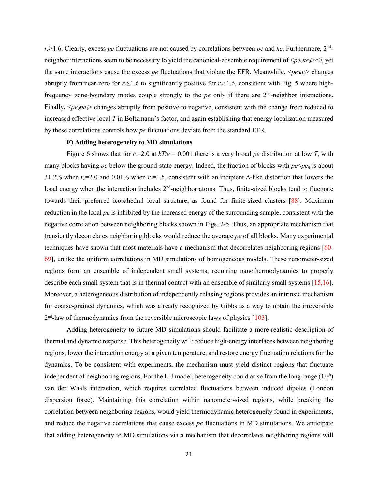*r<sub>c</sub>*≥1.6. Clearly, excess *pe* fluctuations are not caused by correlations between *pe* and *ke*. Furthermore, 2<sup>nd</sup>neighbor interactions seem to be necessary to yield the canonical-ensemble requirement of  $\langle pe_0 \text{ke}_0 \rangle \approx 0$ , yet the same interactions cause the excess *pe* fluctuations that violate the EFR. Meanwhile,  $\langle p e_{0} n_0 \rangle$  changes abruptly from near zero for  $r_c \leq 1.6$  to significantly positive for  $r_c > 1.6$ , consistent with Fig. 5 where highfrequency zone-boundary modes couple strongly to the *pe* only if there are 2nd-neighbor interactions. Finally,  $\langle p e_0 p e_1 \rangle$  changes abruptly from positive to negative, consistent with the change from reduced to increased effective local *T* in Boltzmann's factor, and again establishing that energy localization measured by these correlations controls how *pe* fluctuations deviate from the standard EFR.

### **F) Adding heterogeneity to MD simulations**

Figure 6 shows that for  $r_c=2.0$  at  $kT/\varepsilon = 0.001$  there is a very broad *pe* distribution at low *T*, with many blocks having *pe* below the ground-state energy. Indeed, the fraction of blocks with *pe*<*peg* is about 31.2% when *rc*=2.0 and 0.01% when *rc*=1.5, consistent with an incipient ∆-like distortion that lowers the local energy when the interaction includes 2<sup>nd</sup>-neighbor atoms. Thus, finite-sized blocks tend to fluctuate towards their preferred icosahedral local structure, as found for finite-sized clusters [\[88\]](#page-15-0). Maximum reduction in the local *pe* is inhibited by the increased energy of the surrounding sample, consistent with the negative correlation between neighboring blocks shown in Figs. 2-5. Thus, an appropriate mechanism that transiently decorrelates neighboring blocks would reduce the average *pe* of all blocks. Many experimental techniques have shown that most materials have a mechanism that decorrelates neighboring regions [\[60-](#page-3-0) [69\]](#page-3-1), unlike the uniform correlations in MD simulations of homogeneous models. These nanometer-sized regions form an ensemble of independent small systems, requiring nanothermodynamics to properly describe each small system that is in thermal contact with an ensemble of similarly small systems [\[15](#page-1-3)[,16\]](#page-1-4). Moreover, a heterogeneous distribution of independently relaxing regions provides an intrinsic mechanism for coarse-grained dynamics, which was already recognized by Gibbs as a way to obtain the irreversible  $2<sup>nd</sup>$ -law of thermodynamics from the reversible microscopic laws of physics [[103](#page-28-12)].

Adding heterogeneity to future MD simulations should facilitate a more-realistic description of thermal and dynamic response. This heterogeneity will: reduce high-energy interfaces between neighboring regions, lower the interaction energy at a given temperature, and restore energy fluctuation relations for the dynamics. To be consistent with experiments, the mechanism must yield distinct regions that fluctuate independent of neighboring regions. For the L-J model, heterogeneity could arise from the long range (1/*r*<sup>6</sup>) van der Waals interaction, which requires correlated fluctuations between induced dipoles (London dispersion force). Maintaining this correlation within nanometer-sized regions, while breaking the correlation between neighboring regions, would yield thermodynamic heterogeneity found in experiments, and reduce the negative correlations that cause excess *pe* fluctuations in MD simulations. We anticipate that adding heterogeneity to MD simulations via a mechanism that decorrelates neighboring regions will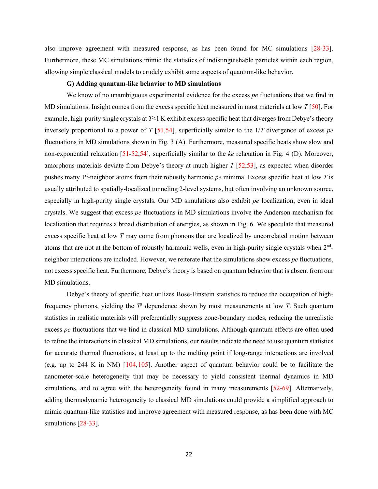also improve agreement with measured response, as has been found for MC simulations [\[28](#page-2-8)[-33\]](#page-2-1). Furthermore, these MC simulations mimic the statistics of indistinguishable particles within each region, allowing simple classical models to crudely exhibit some aspects of quantum-like behavior.

#### **G) Adding quantum-like behavior to MD simulations**

We know of no unambiguous experimental evidence for the excess *pe* fluctuations that we find in MD simulations. Insight comes from the excess specific heat measured in most materials at low *T* [\[50\]](#page-2-9). For example, high-purity single crystals at *T*<1 K exhibit excess specific heat that diverges from Debye's theory inversely proportional to a power of *T* [51,54], superficially similar to the 1/*T* divergence of excess *pe* fluctuations in MD simulations shown in Fig. 3 (A). Furthermore, measured specific heats show slow and non-exponential relaxation [\[51](#page-2-10)[-52](#page-3-2)[,54\]](#page-3-3), superficially similar to the *ke* relaxation in Fig. 4 (D). Moreover, amorphous materials deviate from Debye's theory at much higher *T* [52,53], as expected when disorder pushes many 1st-neighbor atoms from their robustly harmonic *pe* minima. Excess specific heat at low *T* is usually attributed to spatially-localized tunneling 2-level systems, but often involving an unknown source, especially in high-purity single crystals. Our MD simulations also exhibit *pe* localization, even in ideal crystals. We suggest that excess *pe* fluctuations in MD simulations involve the Anderson mechanism for localization that requires a broad distribution of energies, as shown in Fig. 6. We speculate that measured excess specific heat at low *T* may come from phonons that are localized by uncorrelated motion between atoms that are not at the bottom of robustly harmonic wells, even in high-purity single crystals when  $2<sup>nd</sup>$ neighbor interactions are included. However, we reiterate that the simulations show excess *pe* fluctuations, not excess specific heat. Furthermore, Debye's theory is based on quantum behavior that is absent from our MD simulations.

Debye's theory of specific heat utilizes Bose-Einstein statistics to reduce the occupation of highfrequency phonons, yielding the  $T<sup>3</sup>$  dependence shown by most measurements at low *T*. Such quantum statistics in realistic materials will preferentially suppress zone-boundary modes, reducing the unrealistic excess *pe* fluctuations that we find in classical MD simulations. Although quantum effects are often used to refine the interactions in classical MD simulations, our results indicate the need to use quantum statistics for accurate thermal fluctuations, at least up to the melting point if long-range interactions are involved (e.g. up to 244 K in NM) [[104](#page-28-13),[105](#page-28-14)]. Another aspect of quantum behavior could be to facilitate the nanometer-scale heterogeneity that may be necessary to yield consistent thermal dynamics in MD simulations, and to agree with the heterogeneity found in many measurements [\[52-](#page-3-2)[69\]](#page-3-1). Alternatively, adding thermodynamic heterogeneity to classical MD simulations could provide a simplified approach to mimic quantum-like statistics and improve agreement with measured response, as has been done with MC simulations [\[28](#page-2-0)[-33\]](#page-2-1).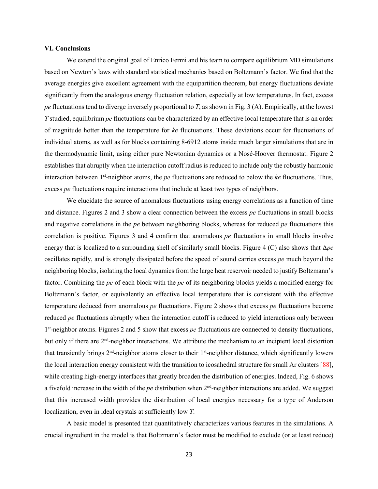#### **VI. Conclusions**

We extend the original goal of Enrico Fermi and his team to compare equilibrium MD simulations based on Newton's laws with standard statistical mechanics based on Boltzmann's factor. We find that the average energies give excellent agreement with the equipartition theorem, but energy fluctuations deviate significantly from the analogous energy fluctuation relation, especially at low temperatures. In fact, excess *pe* fluctuations tend to diverge inversely proportional to *T*, as shown in Fig. 3 (A). Empirically, at the lowest *T* studied, equilibrium *pe* fluctuations can be characterized by an effective local temperature that is an order of magnitude hotter than the temperature for *ke* fluctuations. These deviations occur for fluctuations of individual atoms, as well as for blocks containing 8-6912 atoms inside much larger simulations that are in the thermodynamic limit, using either pure Newtonian dynamics or a Nosé-Hoover thermostat. Figure 2 establishes that abruptly when the interaction cutoff radius is reduced to include only the robustly harmonic interaction between 1st-neighbor atoms, the *pe* fluctuations are reduced to below the *ke* fluctuations. Thus, excess *pe* fluctuations require interactions that include at least two types of neighbors.

We elucidate the source of anomalous fluctuations using energy correlations as a function of time and distance. Figures 2 and 3 show a clear connection between the excess *pe* fluctuations in small blocks and negative correlations in the *pe* between neighboring blocks, whereas for reduced *pe* fluctuations this correlation is positive. Figures 3 and 4 confirm that anomalous *pe* fluctuations in small blocks involve energy that is localized to a surrounding shell of similarly small blocks. Figure 4 (C) also shows that Δ*pe* oscillates rapidly, and is strongly dissipated before the speed of sound carries excess *pe* much beyond the neighboring blocks, isolating the local dynamics from the large heat reservoir needed to justify Boltzmann's factor. Combining the *pe* of each block with the *pe* of its neighboring blocks yields a modified energy for Boltzmann's factor, or equivalently an effective local temperature that is consistent with the effective temperature deduced from anomalous *pe* fluctuations. Figure 2 shows that excess *pe* fluctuations become reduced *pe* fluctuations abruptly when the interaction cutoff is reduced to yield interactions only between 1st-neighbor atoms. Figures 2 and 5 show that excess *pe* fluctuations are connected to density fluctuations, but only if there are  $2<sup>nd</sup>$ -neighbor interactions. We attribute the mechanism to an incipient local distortion that transiently brings 2nd-neighbor atoms closer to their 1st-neighbor distance, which significantly lowers the local interaction energy consistent with the transition to icosahedral structure for small Ar clusters [\[88\]](#page-15-0), while creating high-energy interfaces that greatly broaden the distribution of energies. Indeed, Fig. 6 shows a fivefold increase in the width of the *pe* distribution when 2nd-neighbor interactions are added. We suggest that this increased width provides the distribution of local energies necessary for a type of Anderson localization, even in ideal crystals at sufficiently low *T*.

A basic model is presented that quantitatively characterizes various features in the simulations. A crucial ingredient in the model is that Boltzmann's factor must be modified to exclude (or at least reduce)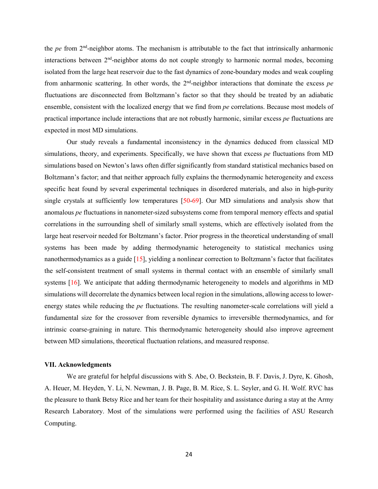the *pe* from 2nd-neighbor atoms. The mechanism is attributable to the fact that intrinsically anharmonic interactions between 2nd-neighbor atoms do not couple strongly to harmonic normal modes, becoming isolated from the large heat reservoir due to the fast dynamics of zone-boundary modes and weak coupling from anharmonic scattering. In other words, the 2nd-neighbor interactions that dominate the excess *pe* fluctuations are disconnected from Boltzmann's factor so that they should be treated by an adiabatic ensemble, consistent with the localized energy that we find from *pe* correlations. Because most models of practical importance include interactions that are not robustly harmonic, similar excess *pe* fluctuations are expected in most MD simulations.

Our study reveals a fundamental inconsistency in the dynamics deduced from classical MD simulations, theory, and experiments. Specifically, we have shown that excess *pe* fluctuations from MD simulations based on Newton's laws often differ significantly from standard statistical mechanics based on Boltzmann's factor; and that neither approach fully explains the thermodynamic heterogeneity and excess specific heat found by several experimental techniques in disordered materials, and also in high-purity single crystals at sufficiently low temperatures [\[50](#page-2-9)[-69\]](#page-3-1). Our MD simulations and analysis show that anomalous *pe* fluctuations in nanometer-sized subsystems come from temporal memory effects and spatial correlations in the surrounding shell of similarly small systems, which are effectively isolated from the large heat reservoir needed for Boltzmann's factor. Prior progress in the theoretical understanding of small systems has been made by adding thermodynamic heterogeneity to statistical mechanics using nanothermodynamics as a guide [\[15\]](#page-1-3), yielding a nonlinear correction to Boltzmann's factor that facilitates the self-consistent treatment of small systems in thermal contact with an ensemble of similarly small systems [\[16\]](#page-1-4). We anticipate that adding thermodynamic heterogeneity to models and algorithms in MD simulations will decorrelate the dynamics between local region in the simulations, allowing access to lowerenergy states while reducing the *pe* fluctuations. The resulting nanometer-scale correlations will yield a fundamental size for the crossover from reversible dynamics to irreversible thermodynamics, and for intrinsic coarse-graining in nature. This thermodynamic heterogeneity should also improve agreement between MD simulations, theoretical fluctuation relations, and measured response.

#### **VII. Acknowledgments**

We are grateful for helpful discussions with S. Abe, O. Beckstein, B. F. Davis, J. Dyre, K. Ghosh, A. Heuer, M. Heyden, Y. Li, N. Newman, J. B. Page, B. M. Rice, S. L. Seyler, and G. H. Wolf. RVC has the pleasure to thank Betsy Rice and her team for their hospitality and assistance during a stay at the Army Research Laboratory. Most of the simulations were performed using the facilities of ASU Research Computing.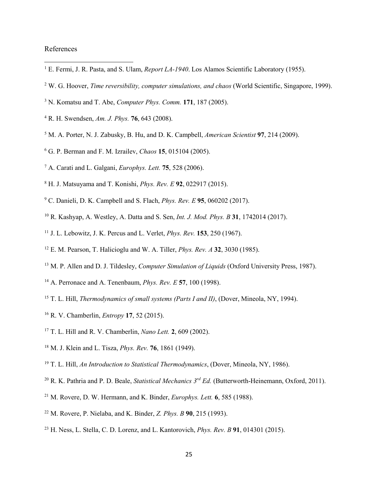# References

 $\overline{\phantom{a}}$ 

- <span id="page-24-0"></span><sup>1</sup> E. Fermi, J. R. Pasta, and S. Ulam, *Report LA-1940*. Los Alamos Scientific Laboratory (1955).
- <span id="page-24-1"></span>W. G. Hoover, *Time reversibility, computer simulations, and chaos* (World Scientific, Singapore, 1999).
- N. Komatsu and T. Abe, *Computer Phys. Comm.* **171**, 187 (2005).
- R. H. Swendsen, *Am. J. Phys.* **76**, 643 (2008).
- <span id="page-24-2"></span>M. A. Porter, N. J. Zabusky, B. Hu, and D. K. Campbell, *American Scientist* **97**, 214 (2009).
- <span id="page-24-3"></span>G. P. Berman and F. M. Izrailev, *Chaos* **15**, 015104 (2005).
- A. Carati and L. Galgani, *Europhys. Lett.* **75**, 528 (2006).
- H. J. Matsuyama and T. Konishi, *Phys. Rev. E* **92**, 022917 (2015).
- C. Danieli, D. K. Campbell and S. Flach, *Phys. Rev. E* **95**, 060202 (2017).
- <span id="page-24-4"></span>R. Kashyap, A. Westley, A. Datta and S. Sen, *Int. J. Mod. Phys. B* **31**, 1742014 (2017).
- <span id="page-24-5"></span>J. L. Lebowitz, J. K. Percus and L. Verlet, *Phys. Rev.* **153**, 250 (1967).
- <span id="page-24-6"></span>E. M. Pearson, T. Halicioglu and W. A. Tiller, *Phys. Rev. A* **32**, 3030 (1985).
- <span id="page-24-7"></span>M. P. Allen and D. J. Tildesley, *Computer Simulation of Liquids* (Oxford University Press, 1987).
- <span id="page-24-8"></span>A. Perronace and A. Tenenbaum, *Phys. Rev. E* **57**, 100 (1998).
- <span id="page-24-9"></span>T. L. Hill, *Thermodynamics of small systems (Parts I and II)*, (Dover, Mineola, NY, 1994).
- <span id="page-24-10"></span>R. V. Chamberlin, *Entropy* **17**, 52 (2015).
- <span id="page-24-11"></span>T. L. Hill and R. V. Chamberlin, *Nano Lett.* **2**, 609 (2002).
- <span id="page-24-12"></span>M. J. Klein and L. Tisza, *Phys. Rev.* **76**, 1861 (1949).
- <span id="page-24-13"></span>T. L. Hill, *An Introduction to Statistical Thermodynamics*, (Dover, Mineola, NY, 1986).
- <span id="page-24-14"></span><sup>20</sup> R. K. Pathria and P. D. Beale, *Statistical Mechanics 3<sup>rd</sup> Ed.* (Butterworth-Heinemann, Oxford, 2011).
- <span id="page-24-15"></span>M. Rovere, D. W. Hermann, and K. Binder, *Europhys. Lett.* **6**, 585 (1988).
- <span id="page-24-16"></span>M. Rovere, P. Nielaba, and K. Binder, *Z. Phys. B* **90**, 215 (1993).
- <span id="page-24-17"></span>H. Ness, L. Stella, C. D. Lorenz, and L. Kantorovich, *Phys. Rev. B* **91**, 014301 (2015).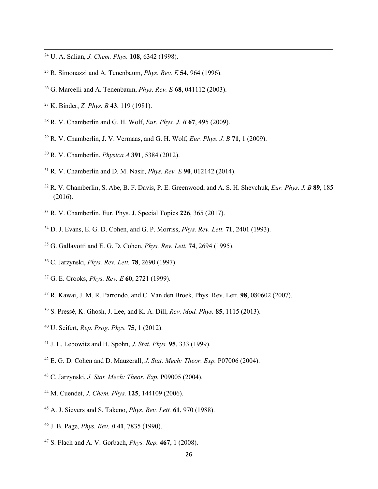- <span id="page-25-0"></span>U. A. Salian, *J. Chem. Phys.* **108**, 6342 (1998).
- <span id="page-25-1"></span>R. Simonazzi and A. Tenenbaum, *Phys. Rev. E* **54**, 964 (1996).
- <span id="page-25-2"></span>G. Marcelli and A. Tenenbaum, *Phys. Rev. E* **68**, 041112 (2003).
- <span id="page-25-3"></span>K. Binder, *Z. Phys. B* **43**, 119 (1981).

- <span id="page-25-4"></span>R. V. Chamberlin and G. H. Wolf, *Eur. Phys. J. B* **67**, 495 (2009).
- <span id="page-25-5"></span>R. V. Chamberlin, J. V. Vermaas, and G. H. Wolf, *Eur. Phys. J. B* **71**, 1 (2009).
- <span id="page-25-6"></span>R. V. Chamberlin, *Physica A* **391**, 5384 (2012).
- <span id="page-25-7"></span>R. V. Chamberlin and D. M. Nasir, *Phys. Rev. E* **90**, 012142 (2014).
- R. V. Chamberlin, S. Abe, B. F. Davis, P. E. Greenwood, and A. S. H. Shevchuk, *Eur. Phys. J. B* **89**, 185 (2016).
- <span id="page-25-8"></span>R. V. Chamberlin, Eur. Phys. J. Special Topics **226**, 365 (2017).
- <span id="page-25-9"></span>D. J. Evans, E. G. D. Cohen, and G. P. Morriss, *Phys. Rev. Lett.* **71**, 2401 (1993).
- G. Gallavotti and E. G. D. Cohen, *Phys. Rev. Lett.* **74**, 2694 (1995).
- C. Jarzynski, *Phys. Rev. Lett.* **78**, 2690 (1997).
- G. E. Crooks, *Phys. Rev. E* **60**, 2721 (1999).
- R. Kawai, J. M. R. Parrondo, and C. Van den Broek, Phys. Rev. Lett. **98**, 080602 (2007).
- S. Pressé, K. Ghosh, J. Lee, and K. A. Dill, *Rev. Mod. Phys.* **85**, 1115 (2013).
- <span id="page-25-10"></span>U. Seifert, *Rep. Prog. Phys.* **75**, 1 (2012).
- <span id="page-25-11"></span>J. L. Lebowitz and H. Spohn, *J. Stat. Phys.* **95**, 333 (1999).
- E. G. D. Cohen and D. Mauzerall, *J. Stat. Mech: Theor. Exp.* P07006 (2004).
- C. Jarzynski, *J. Stat. Mech: Theor. Exp.* P09005 (2004).
- <span id="page-25-12"></span>M. Cuendet, *J. Chem. Phys.* **125**, 144109 (2006).
- <span id="page-25-13"></span>A. J. Sievers and S. Takeno, *Phys. Rev. Lett.* **61**, 970 (1988).
- <span id="page-25-14"></span>J. B. Page, *Phys. Rev. B* **41**, 7835 (1990).
- <span id="page-25-15"></span>S. Flach and A. V. Gorbach, *Phys. Rep.* **467**, 1 (2008).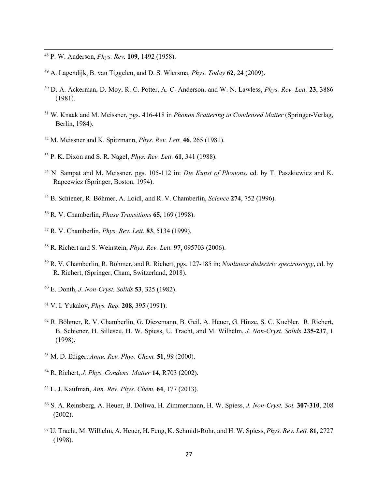<span id="page-26-0"></span>P. W. Anderson, *Phys. Rev.* **109**, 1492 (1958).

- <span id="page-26-1"></span>A. Lagendijk, B. van Tiggelen, and D. S. Wiersma, *Phys. Today* **62**, 24 (2009).
- <span id="page-26-2"></span> D. A. Ackerman, D. Moy, R. C. Potter, A. C. Anderson, and W. N. Lawless, *Phys. Rev. Lett.* **23**, 3886 (1981).
- <span id="page-26-3"></span> W. Knaak and M. Meissner, pgs. 416-418 in *Phonon Scattering in Condensed Matter* (Springer-Verlag, Berlin, 1984).
- <span id="page-26-4"></span>M. Meissner and K. Spitzmann, *Phys. Rev. Lett.* **46**, 265 (1981).
- P. K. Dixon and S. R. Nagel, *Phys. Rev. Lett.* **61**, 341 (1988).
- <span id="page-26-5"></span> N. Sampat and M. Meissner, pgs. 105-112 in: *Die Kunst of Phonons*, ed. by T. Paszkiewicz and K. Rapcewicz (Springer, Boston, 1994).
- <span id="page-26-6"></span>B. Schiener, R. Böhmer, A. Loidl, and R. V. Chamberlin, *Science* **274**, 752 (1996).
- R. V. Chamberlin, *Phase Transitions* **65**, 169 (1998).
- R. V. Chamberlin, *Phys. Rev. Lett.* **83**, 5134 (1999).
- R. Richert and S. Weinstein, *Phys. Rev. Lett.* **97**, 095703 (2006).
- <span id="page-26-7"></span> R. V. Chamberlin, R. Böhmer, and R. Richert, pgs. 127-185 in: *Nonlinear dielectric spectroscopy*, ed. by R. Richert, (Springer, Cham, Switzerland, 2018).
- <span id="page-26-8"></span>E. Donth, *J. Non-Cryst. Solids* **53**, 325 (1982).
- V. I. Yukalov, *Phys. Rep.* **208**, 395 (1991).
- R. Böhmer, R. V. Chamberlin, G. Diezemann, B. Geil, A. Heuer, G. Hinze, S. C. Kuebler, R. Richert, B. Schiener, H. Sillescu, H. W. Spiess, U. Tracht, and M. Wilhelm, *J. Non-Cryst. Solids* **235-237**, 1 (1998).
- M. D. Ediger, *Annu. Rev. Phys. Chem.* **51**, 99 (2000).
- <span id="page-26-9"></span>R. Richert, *J. Phys. Condens. Matter* **14**, R703 (2002).
- <span id="page-26-10"></span>L. J. Kaufman, *Ann. Rev. Phys. Chem.* **64**, 177 (2013).
- <span id="page-26-11"></span> S. A. Reinsberg, A. Heuer, B. Doliwa, H. Zimmermann, H. W. Spiess, *J. Non-Cryst. Sol.* **307-310**, 208 (2002).
- <span id="page-26-12"></span> U. Tracht, M. Wilhelm, A. Heuer, H. Feng, K. Schmidt-Rohr, and H. W. Spiess, *Phys. Rev. Lett.* **81**, 2727 (1998).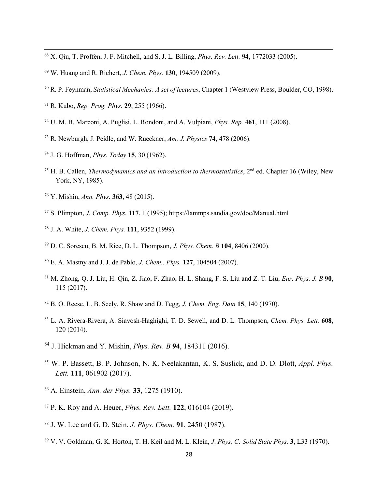- X. Qiu, T. Proffen, J. F. Mitchell, and S. J. L. Billing, *Phys. Rev. Lett.* **94**, 1772033 (2005).
- <span id="page-27-0"></span>W. Huang and R. Richert, *J. Chem. Phys.* **130**, 194509 (2009).
- <span id="page-27-1"></span>R. P. Feynman, *Statistical Mechanics: A set of lectures*, Chapter 1 (Westview Press, Boulder, CO, 1998).
- <span id="page-27-2"></span>R. Kubo, *Rep. Prog. Phys.* **29**, 255 (1966).

- <span id="page-27-3"></span>U. M. B. Marconi, A. Puglisi, L. Rondoni, and A. Vulpiani, *Phys. Rep.* **461**, 111 (2008).
- <span id="page-27-4"></span>R. Newburgh, J. Peidle, and W. Rueckner, *Am. J. Physics* **74**, 478 (2006).
- <span id="page-27-5"></span>J. G. Hoffman, *Phys. Today* **15**, 30 (1962).
- <span id="page-27-6"></span> H. B. Callen, *Thermodynamics and an introduction to thermostatistics*, 2nd ed. Chapter 16 (Wiley, New York, NY, 1985).
- <span id="page-27-7"></span>Y. Mishin, *Ann. Phys.* **363**, 48 (2015).
- <span id="page-27-8"></span>S. Plimpton, *J. Comp. Phys.* **117**, 1 (1995); https://lammps.sandia.gov/doc/Manual.html
- <span id="page-27-9"></span>J. A. White, *J. Chem. Phys.* **111**, 9352 (1999).
- <span id="page-27-10"></span>D. C. Sorescu, B. M. Rice, D. L. Thompson, *J. Phys. Chem. B* **104**, 8406 (2000).
- <span id="page-27-11"></span>E. A. Mastny and J. J. de Pablo, *J. Chem.. Phys.* **127**, 104504 (2007).
- <span id="page-27-12"></span> M. Zhong, Q. J. Liu, H. Qin, Z. Jiao, F. Zhao, H. L. Shang, F. S. Liu and Z. T. Liu, *Eur. Phys. J. B* **90**, 115 (2017).
- <span id="page-27-13"></span>B. O. Reese, L. B. Seely, R. Shaw and D. Tegg, *J. Chem. Eng. Data* **15**, 140 (1970).
- <span id="page-27-14"></span> L. A. Rivera-Rivera, A. Siavosh-Haghighi, T. D. Sewell, and D. L. Thompson, *Chem. Phys. Lett.* **608**, 120 (2014).
- <span id="page-27-15"></span>J. Hickman and Y. Mishin, *Phys. Rev. B* **94**, 184311 (2016).
- <span id="page-27-16"></span> W. P. Bassett, B. P. Johnson, N. K. Neelakantan, K. S. Suslick, and D. D. Dlott, *Appl. Phys. Lett.* **111**, 061902 (2017).
- <span id="page-27-17"></span>A. Einstein, *Ann. der Phys.* **33**, 1275 (1910).
- <span id="page-27-18"></span>P. K. Roy and A. Heuer, *Phys. Rev. Lett.* **122**, 016104 (2019).
- <span id="page-27-19"></span>J. W. Lee and G. D. Stein, *J. Phys. Chem.* **91**, 2450 (1987).
- <span id="page-27-20"></span>V. V. Goldman, G. K. Horton, T. H. Keil and M. L. Klein, *J*. *Phys. C: Solid State Phys.* **3**, L33 (1970).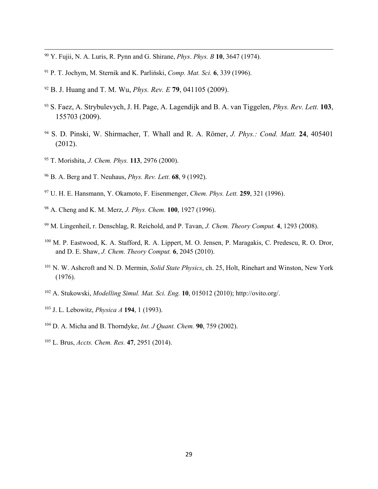- <span id="page-28-0"></span>Y. Fujii, N. A. Luris, R. Pynn and G. Shirane, *Phys*. *Phys. B* **10**, 3647 (1974).
- <span id="page-28-1"></span>P. T. Jochym, M. Sternik and K. Parliński, *Comp. Mat. Sci.* **6**, 339 (1996).
- <span id="page-28-2"></span>B. J. Huang and T. M. Wu, *Phys. Rev. E* **79**, 041105 (2009).
- S. Faez, A. Strybulevych, J. H. Page, A. Lagendijk and B. A. van Tiggelen, *Phys. Rev. Lett.* **103**, 155703 (2009).
- <span id="page-28-3"></span> S. D. Pinski, W. Shirmacher, T. Whall and R. A. Römer, *J. Phys.: Cond. Matt.* **24**, 405401 (2012).
- <span id="page-28-4"></span>T. Morishita, *J. Chem. Phys.* **113**, 2976 (2000).

- <span id="page-28-5"></span>B. A. Berg and T. Neuhaus, *Phys. Rev. Lett.* **68**, 9 (1992).
- <span id="page-28-6"></span>U. H. E. Hansmann, Y. Okamoto, F. Eisenmenger, *Chem. Phys. Lett.* **259**, 321 (1996).
- <span id="page-28-7"></span>A. Cheng and K. M. Merz, *J. Phys. Chem.* **100**, 1927 (1996).
- <span id="page-28-8"></span>M. Lingenheil, r. Denschlag, R. Reichold, and P. Tavan, *J. Chem. Theory Comput.* **4**, 1293 (2008).
- <span id="page-28-9"></span> M. P. Eastwood, K. A. Stafford, R. A. Lippert, M. O. Jensen, P. Maragakis, C. Predescu, R. O. Dror, and D. E. Shaw, *J. Chem. Theory Comput.* **6**, 2045 (2010).
- <span id="page-28-10"></span> N. W. Ashcroft and N. D. Mermin, *Solid State Physics*, ch. 25, Holt, Rinehart and Winston, New York (1976).
- <span id="page-28-11"></span>A. Stukowski, *Modelling Simul. Mat. Sci. Eng.* **10**, 015012 (2010); http://ovito.org/.
- <span id="page-28-12"></span>J. L. Lebowitz, *Physica A* **194**, 1 (1993).
- <span id="page-28-13"></span>D. A. Micha and B. Thorndyke, *Int. J Quant. Chem.* **90**, 759 (2002).
- <span id="page-28-14"></span>L. Brus, *Accts. Chem. Res.* **47**, 2951 (2014).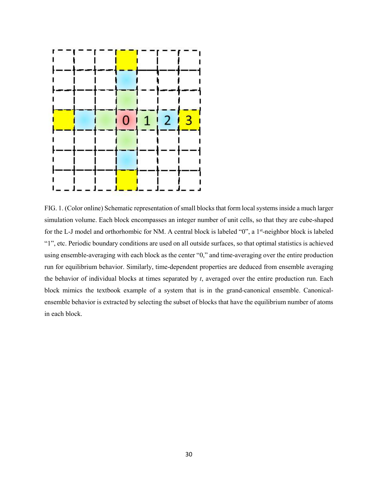

FIG. 1. (Color online) Schematic representation of small blocks that form local systems inside a much larger simulation volume. Each block encompasses an integer number of unit cells, so that they are cube-shaped for the L-J model and orthorhombic for NM. A central block is labeled "0", a 1st-neighbor block is labeled "1", etc. Periodic boundary conditions are used on all outside surfaces, so that optimal statistics is achieved using ensemble-averaging with each block as the center "0," and time-averaging over the entire production run for equilibrium behavior. Similarly, time-dependent properties are deduced from ensemble averaging the behavior of individual blocks at times separated by *t*, averaged over the entire production run. Each block mimics the textbook example of a system that is in the grand-canonical ensemble. Canonicalensemble behavior is extracted by selecting the subset of blocks that have the equilibrium number of atoms in each block.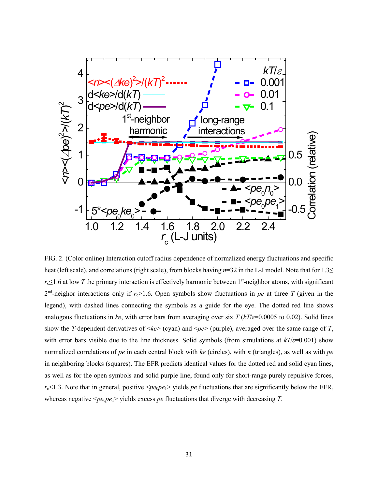

FIG. 2. (Color online) Interaction cutoff radius dependence of normalized energy fluctuations and specific heat (left scale), and correlations (right scale), from blocks having *n*=32 in the L-J model. Note that for 1.3≤ *r*c≤1.6 at low *T* the primary interaction is effectively harmonic between 1<sup>st</sup>-neighbor atoms, with significant  $2<sup>nd</sup>$ -neighor interactions only if  $r_c$ >1.6. Open symbols show fluctuations in *pe* at three *T* (given in the legend), with dashed lines connecting the symbols as a guide for the eye. The dotted red line shows analogous fluctuations in *ke*, with error bars from averaging over six *T* (*kT*/*ε*=0.0005 to 0.02). Solid lines show the *T*-dependent derivatives of <*ke*> (cyan) and <*pe*> (purple), averaged over the same range of *T*, with error bars visible due to the line thickness. Solid symbols (from simulations at  $kT/\epsilon$ =0.001) show normalized correlations of *pe* in each central block with *ke* (circles), with *n* (triangles), as well as with *pe* in neighboring blocks (squares). The EFR predicts identical values for the dotted red and solid cyan lines, as well as for the open symbols and solid purple line, found only for short-range purely repulsive forces,  $r_c$ <1.3. Note that in general, positive  $\langle p e_0 p e_1 \rangle$  yields *pe* fluctuations that are significantly below the EFR, whereas negative  $\leq$ *pe*<sub>0</sub>*pe*<sub>1</sub> $>$ *y*ields excess *pe* fluctuations that diverge with decreasing *T*.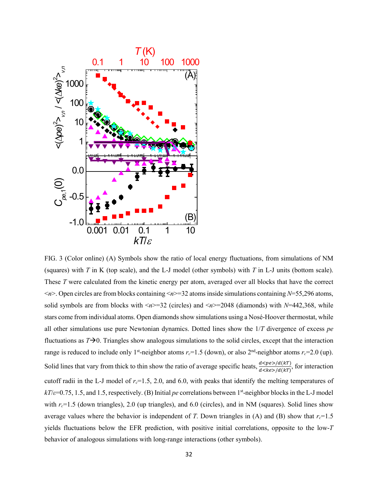

FIG. 3 (Color online) (A) Symbols show the ratio of local energy fluctuations, from simulations of NM (squares) with *T* in K (top scale), and the L-J model (other symbols) with *T* in L-J units (bottom scale). These *T* were calculated from the kinetic energy per atom, averaged over all blocks that have the correct <*n*>. Open circles are from blocks containing <*n*>=32 atoms inside simulations containing *N*=55,296 atoms, solid symbols are from blocks with  $\langle n \rangle$  =32 (circles) and  $\langle n \rangle$  =2048 (diamonds) with *N*=442,368, while stars come from individual atoms. Open diamonds show simulations using a Nosé-Hoover thermostat, while all other simulations use pure Newtonian dynamics. Dotted lines show the 1/*T* divergence of excess *pe* fluctuations as  $T\rightarrow 0$ . Triangles show analogous simulations to the solid circles, except that the interaction range is reduced to include only 1<sup>st</sup>-neighbor atoms  $r_c$ =1.5 (down), or also 2<sup>nd</sup>-neighbor atoms  $r_c$ =2.0 (up). Solid lines that vary from thick to thin show the ratio of average specific heats,  $\frac{d < p_e >}{d < k \cdot S}$  $\frac{a < p\epsilon > a(\kappa r)}{d < k\epsilon > d(\kappa r)}$ , for interaction cutoff radii in the L-J model of  $r_c=1.5, 2.0,$  and 6.0, with peaks that identify the melting temperatures of *kT*/*ε*=0.75, 1.5, and 1.5, respectively. (B) Initial *pe* correlations between 1st-neighbor blocks in the L-J model with  $r_c$ =1.5 (down triangles), 2.0 (up triangles), and 6.0 (circles), and in NM (squares). Solid lines show average values where the behavior is independent of *T*. Down triangles in (A) and (B) show that  $r_c$ =1.5 yields fluctuations below the EFR prediction, with positive initial correlations, opposite to the low-*T* behavior of analogous simulations with long-range interactions (other symbols).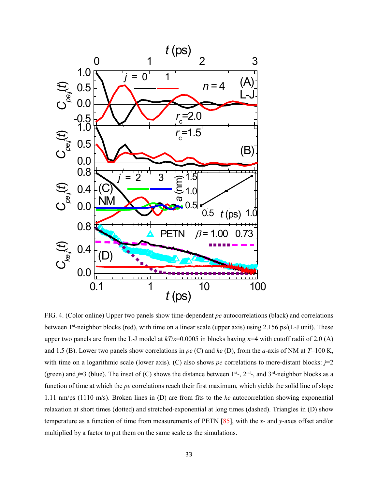

FIG. 4. (Color online) Upper two panels show time-dependent *pe* autocorrelations (black) and correlations between  $1<sup>st</sup>$ -neighbor blocks (red), with time on a linear scale (upper axis) using 2.156 ps/(L-J unit). These upper two panels are from the L-J model at *kT*/*ε*=0.0005 in blocks having *n*=4 with cutoff radii of 2.0 (A) and 1.5 (B). Lower two panels show correlations in  $pe$  (C) and  $ke$  (D), from the *a*-axis of NM at  $T=100$  K, with time on a logarithmic scale (lower axis). (C) also shows *pe* correlations to more-distant blocks: *j*=2 (green) and  $j=3$  (blue). The inset of (C) shows the distance between  $1^{st}$ ,  $2^{nd}$ , and  $3^{rd}$ -neighbor blocks as a function of time at which the *pe* correlations reach their first maximum, which yields the solid line of slope 1.11 nm/ps (1110 m/s). Broken lines in (D) are from fits to the *ke* autocorrelation showing exponential relaxation at short times (dotted) and stretched-exponential at long times (dashed). Triangles in (D) show temperature as a function of time from measurements of PETN [\[85\]](#page-11-0), with the *x*- and *y*-axes offset and/or multiplied by a factor to put them on the same scale as the simulations.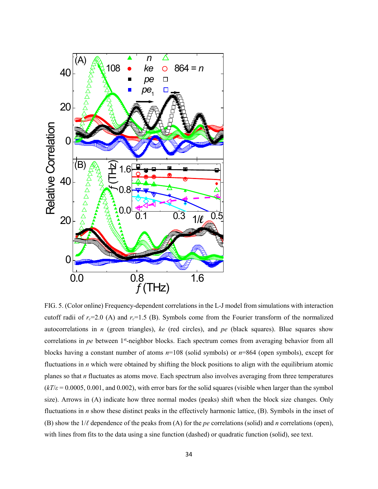

FIG. 5. (Color online) Frequency-dependent correlations in the L-J model from simulations with interaction cutoff radii of  $r_c$ =2.0 (A) and  $r_c$ =1.5 (B). Symbols come from the Fourier transform of the normalized autocorrelations in *n* (green triangles), *ke* (red circles), and *pe* (black squares). Blue squares show correlations in *pe* between 1<sup>st</sup>-neighbor blocks. Each spectrum comes from averaging behavior from all blocks having a constant number of atoms *n*=108 (solid symbols) or *n*=864 (open symbols), except for fluctuations in *n* which were obtained by shifting the block positions to align with the equilibrium atomic planes so that *n* fluctuates as atoms move. Each spectrum also involves averaging from three temperatures  $(kT/\varepsilon = 0.0005, 0.001,$  and 0.002), with error bars for the solid squares (visible when larger than the symbol size). Arrows in (A) indicate how three normal modes (peaks) shift when the block size changes. Only fluctuations in *n* show these distinct peaks in the effectively harmonic lattice, (B). Symbols in the inset of (B) show the 1/*ℓ* dependence of the peaks from (A) for the *pe* correlations (solid) and *n* correlations (open), with lines from fits to the data using a sine function (dashed) or quadratic function (solid), see text.